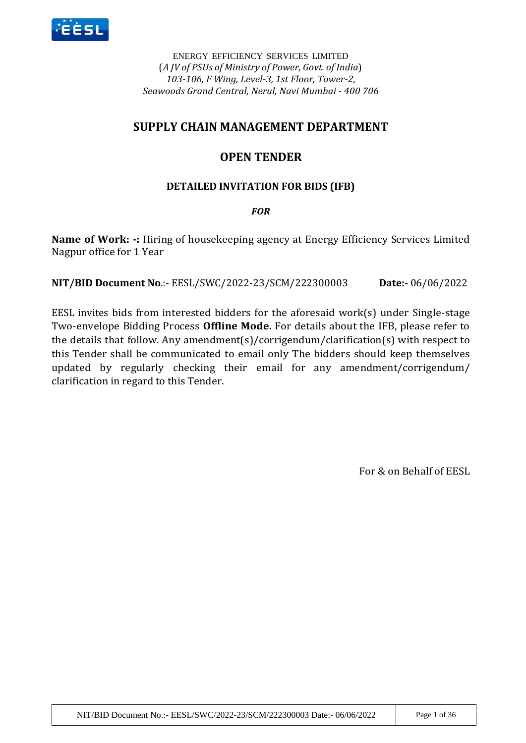

ENERGY EFFICIENCY SERVICES LIMITED (*A JV of PSUs of Ministry of Power, Govt. of India*) *103-106, F Wing, Level-3, 1st Floor, Tower-2, Seawoods Grand Central, Nerul, Navi Mumbai - 400 706*

# **SUPPLY CHAIN MANAGEMENT DEPARTMENT**

# **OPEN TENDER**

# **DETAILED INVITATION FOR BIDS (IFB)**

# *FOR*

**Name of Work: -:** Hiring of housekeeping agency at Energy Efficiency Services Limited Nagpur office for 1 Year

**NIT/BID Document No**.:- EESL/SWC/2022-23/SCM/222300003 **Date:-** 06/06/2022

EESL invites bids from interested bidders for the aforesaid work(s) under Single-stage Two-envelope Bidding Process **Offline Mode.** For details about the IFB, please refer to the details that follow. Any amendment(s)/corrigendum/clarification(s) with respect to this Tender shall be communicated to email only The bidders should keep themselves updated by regularly checking their email for any amendment/corrigendum/ clarification in regard to this Tender.

For & on Behalf of EESL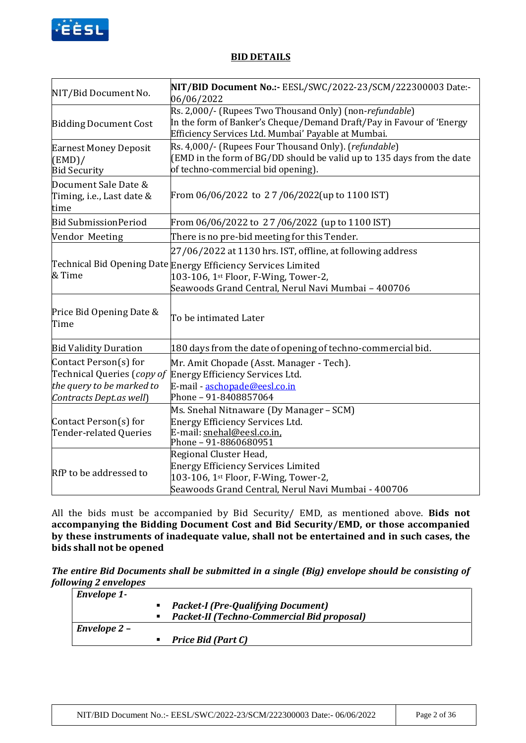

### **BID DETAILS**

| NIT/Bid Document No.                                                                                                                                                                 | NIT/BID Document No.:- EESL/SWC/2022-23/SCM/222300003 Date:-<br>06/06/2022                                                                                                             |  |
|--------------------------------------------------------------------------------------------------------------------------------------------------------------------------------------|----------------------------------------------------------------------------------------------------------------------------------------------------------------------------------------|--|
| <b>Bidding Document Cost</b>                                                                                                                                                         | Rs. 2,000/- (Rupees Two Thousand Only) (non-refundable)<br>In the form of Banker's Cheque/Demand Draft/Pay in Favour of 'Energy<br>Efficiency Services Ltd. Mumbai' Payable at Mumbai. |  |
| <b>Earnest Money Deposit</b><br>(EMD)/<br><b>Bid Security</b>                                                                                                                        | Rs. 4,000/- (Rupees Four Thousand Only). (refundable)<br>(EMD in the form of BG/DD should be valid up to 135 days from the date<br>of techno-commercial bid opening).                  |  |
| Document Sale Date &<br>Timing, i.e., Last date &<br>time                                                                                                                            | From 06/06/2022 to 27/06/2022(up to 1100 IST)                                                                                                                                          |  |
| <b>Bid Submission Period</b>                                                                                                                                                         | From 06/06/2022 to 27/06/2022 (up to 1100 IST)                                                                                                                                         |  |
| Vendor Meeting                                                                                                                                                                       | There is no pre-bid meeting for this Tender.                                                                                                                                           |  |
|                                                                                                                                                                                      | 27/06/2022 at 1130 hrs. IST, offline, at following address                                                                                                                             |  |
| & Time                                                                                                                                                                               | Technical Bid Opening Date Energy Efficiency Services Limited<br>103-106, 1st Floor, F-Wing, Tower-2,<br>Seawoods Grand Central, Nerul Navi Mumbai - 400706                            |  |
| Price Bid Opening Date &<br>Time                                                                                                                                                     | To be intimated Later                                                                                                                                                                  |  |
| <b>Bid Validity Duration</b>                                                                                                                                                         | 180 days from the date of opening of techno-commercial bid.                                                                                                                            |  |
| Contact Person(s) for<br>Technical Queries (copy of<br>the query to be marked to<br>Contracts Dept.as well)                                                                          | Mr. Amit Chopade (Asst. Manager - Tech).<br>Energy Efficiency Services Ltd.<br>E-mail - aschopade@eesl.co.in<br>Phone - 91-8408857064                                                  |  |
| Ms. Snehal Nitnaware (Dy Manager - SCM)<br>Contact Person(s) for<br>Energy Efficiency Services Ltd.<br>E-mail: snehal@eesl.co.in,<br>Tender-related Queries<br>Phone - 91-8860680951 |                                                                                                                                                                                        |  |
| RfP to be addressed to                                                                                                                                                               | Regional Cluster Head,<br><b>Energy Efficiency Services Limited</b><br>103-106, 1st Floor, F-Wing, Tower-2,<br>Seawoods Grand Central, Nerul Navi Mumbai - 400706                      |  |

All the bids must be accompanied by Bid Security/ EMD, as mentioned above. **Bids not accompanying the Bidding Document Cost and Bid Security/EMD, or those accompanied by these instruments of inadequate value, shall not be entertained and in such cases, the bids shall not be opened** 

*The entire Bid Documents shall be submitted in a single (Big) envelope should be consisting of following 2 envelopes*

| <b>Envelope 1-</b> |                                                   |
|--------------------|---------------------------------------------------|
|                    | <b>Packet-I (Pre-Qualifying Document)</b>         |
|                    | <b>Packet-II (Techno-Commercial Bid proposal)</b> |
| Envelope 2 –       |                                                   |
|                    | Price Bid (Part C)                                |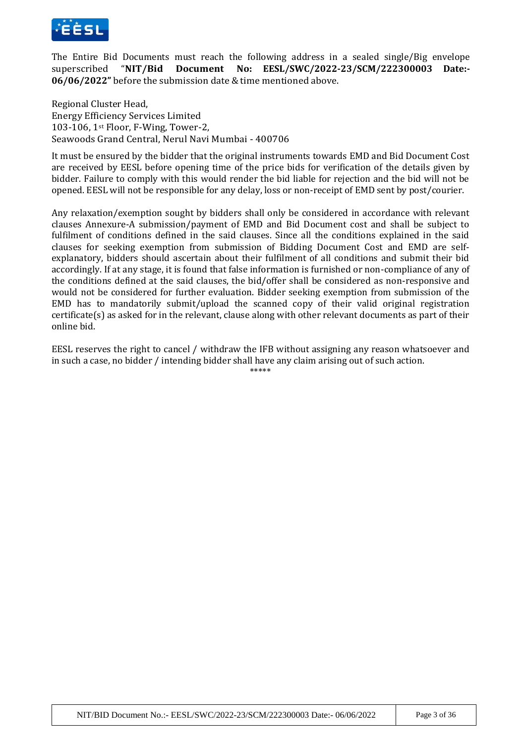

The Entire Bid Documents must reach the following address in a sealed single/Big envelope superscribed "**NIT/Bid Document No: EESL/SWC/2022-23/SCM/222300003 Date:- 06/06/2022"** before the submission date & time mentioned above.

Regional Cluster Head, Energy Efficiency Services Limited 103-106, 1st Floor, F-Wing, Tower-2, Seawoods Grand Central, Nerul Navi Mumbai - 400706

It must be ensured by the bidder that the original instruments towards EMD and Bid Document Cost are received by EESL before opening time of the price bids for verification of the details given by bidder. Failure to comply with this would render the bid liable for rejection and the bid will not be opened. EESL will not be responsible for any delay, loss or non-receipt of EMD sent by post/courier.

Any relaxation/exemption sought by bidders shall only be considered in accordance with relevant clauses Annexure-A submission/payment of EMD and Bid Document cost and shall be subject to fulfilment of conditions defined in the said clauses. Since all the conditions explained in the said clauses for seeking exemption from submission of Bidding Document Cost and EMD are selfexplanatory, bidders should ascertain about their fulfilment of all conditions and submit their bid accordingly. If at any stage, it is found that false information is furnished or non-compliance of any of the conditions defined at the said clauses, the bid/offer shall be considered as non-responsive and would not be considered for further evaluation. Bidder seeking exemption from submission of the EMD has to mandatorily submit/upload the scanned copy of their valid original registration certificate(s) as asked for in the relevant, clause along with other relevant documents as part of their online bid.

EESL reserves the right to cancel / withdraw the IFB without assigning any reason whatsoever and in such a case, no bidder / intending bidder shall have any claim arising out of such action.

\*\*\*\*\*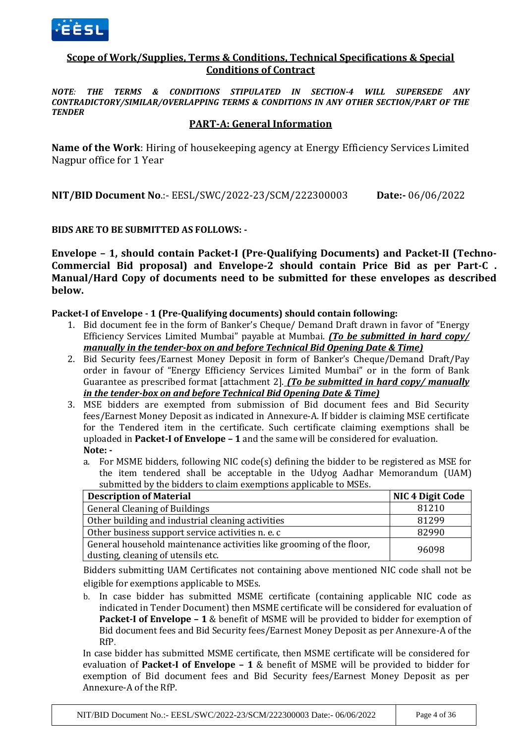

## **Scope of Work/Supplies, Terms & Conditions, Technical Specifications & Special Conditions of Contract**

*NOTE: THE TERMS & CONDITIONS STIPULATED IN SECTION-4 WILL SUPERSEDE ANY CONTRADICTORY/SIMILAR/OVERLAPPING TERMS & CONDITIONS IN ANY OTHER SECTION/PART OF THE TENDER*

### **PART-A: General Information**

**Name of the Work**: Hiring of housekeeping agency at Energy Efficiency Services Limited Nagpur office for 1 Year

**NIT/BID Document No**.:- EESL/SWC/2022-23/SCM/222300003 **Date:-** 06/06/2022

### **BIDS ARE TO BE SUBMITTED AS FOLLOWS: -**

**Envelope – 1, should contain Packet-I (Pre-Qualifying Documents) and Packet-II (Techno-Commercial Bid proposal) and Envelope-2 should contain Price Bid as per Part-C . Manual/Hard Copy of documents need to be submitted for these envelopes as described below.** 

#### **Packet-I of Envelope - 1 (Pre-Qualifying documents) should contain following:**

- 1. Bid document fee in the form of Banker's Cheque/ Demand Draft drawn in favor of "Energy Efficiency Services Limited Mumbai" payable at Mumbai. *(To be submitted in hard copy/ manually in the tender-box on and before Technical Bid Opening Date & Time)*
- 2. Bid Security fees/Earnest Money Deposit in form of Banker's Cheque/Demand Draft/Pay order in favour of "Energy Efficiency Services Limited Mumbai" or in the form of Bank Guarantee as prescribed format [attachment 2]. *(To be submitted in hard copy/ manually in the tender-box on and before Technical Bid Opening Date & Time)*
- 3. MSE bidders are exempted from submission of Bid document fees and Bid Security fees/Earnest Money Deposit as indicated in Annexure-A. If bidder is claiming MSE certificate for the Tendered item in the certificate. Such certificate claiming exemptions shall be uploaded in **Packet-I of Envelope – 1** and the same will be considered for evaluation. **Note:** 
	- a. For MSME bidders, following NIC code(s) defining the bidder to be registered as MSE for the item tendered shall be acceptable in the Udyog Aadhar Memorandum (UAM) submitted by the bidders to claim exemptions applicable to MSEs.

| <b>Description of Material</b>                                       | <b>NIC 4 Digit Code</b> |
|----------------------------------------------------------------------|-------------------------|
| <b>General Cleaning of Buildings</b>                                 | 81210                   |
| Other building and industrial cleaning activities                    | 81299                   |
| Other business support service activities n. e. c                    | 82990                   |
| General household maintenance activities like grooming of the floor, | 96098                   |
| dusting, cleaning of utensils etc.                                   |                         |

Bidders submitting UAM Certificates not containing above mentioned NIC code shall not be eligible for exemptions applicable to MSEs.

b. In case bidder has submitted MSME certificate (containing applicable NIC code as indicated in Tender Document) then MSME certificate will be considered for evaluation of **Packet-I of Envelope – 1** & benefit of MSME will be provided to bidder for exemption of Bid document fees and Bid Security fees/Earnest Money Deposit as per Annexure-A of the RfP.

In case bidder has submitted MSME certificate, then MSME certificate will be considered for evaluation of **Packet-I of Envelope – 1** & benefit of MSME will be provided to bidder for exemption of Bid document fees and Bid Security fees/Earnest Money Deposit as per Annexure-A of the RfP.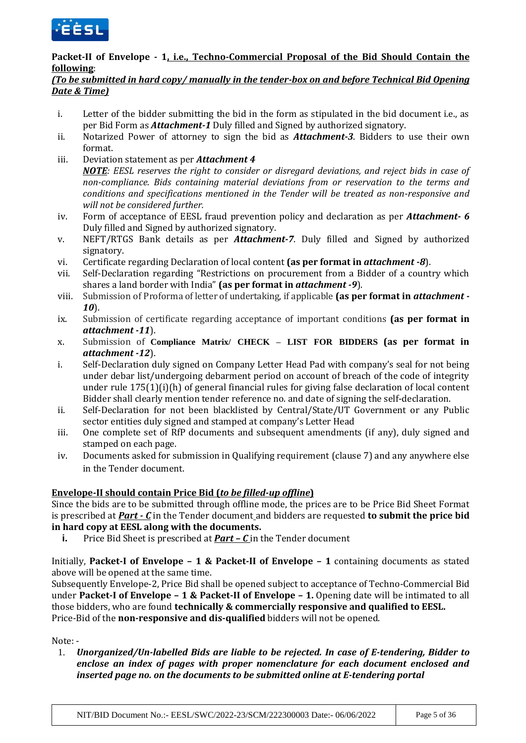

# **Packet-II of Envelope - 1, i.e., Techno-Commercial Proposal of the Bid Should Contain the following**:

# *(To be submitted in hard copy/ manually in the tender-box on and before Technical Bid Opening Date & Time)*

- i. Letter of the bidder submitting the bid in the form as stipulated in the bid document i.e., as per Bid Form as *Attachment-1* Duly filled and Signed by authorized signatory.
- ii. Notarized Power of attorney to sign the bid as *Attachment-3*. Bidders to use their own format.
- iii. Deviation statement as per *Attachment 4*

*NOTE: EESL reserves the right to consider or disregard deviations, and reject bids in case of non-compliance. Bids containing material deviations from or reservation to the terms and conditions and specifications mentioned in the Tender will be treated as non-responsive and will not be considered further.*

- iv. Form of acceptance of EESL fraud prevention policy and declaration as per *Attachment- 6* Duly filled and Signed by authorized signatory.
- v. NEFT/RTGS Bank details as per *Attachment-7*. Duly filled and Signed by authorized signatory.
- vi. Certificate regarding Declaration of local content **(as per format in** *attachment -8*).
- vii. Self-Declaration regarding "Restrictions on procurement from a Bidder of a country which shares a land border with India" **(as per format in** *attachment -9*).
- viii. Submission of Proforma of letter of undertaking, if applicable **(as per format in** *attachment - 10*).
- ix. Submission of certificate regarding acceptance of important conditions **(as per format in**  *attachment -11*).
- x. Submission of **Compliance Matrix/ CHECK – LIST FOR BIDDERS (as per format in**  *attachment -12*).
- i. Self-Declaration duly signed on Company Letter Head Pad with company's seal for not being under debar list/undergoing debarment period on account of breach of the code of integrity under rule 175(1)(i)(h) of general financial rules for giving false declaration of local content Bidder shall clearly mention tender reference no. and date of signing the self-declaration.
- ii. Self-Declaration for not been blacklisted by Central/State/UT Government or any Public sector entities duly signed and stamped at company's Letter Head
- iii. One complete set of RfP documents and subsequent amendments (if any), duly signed and stamped on each page.
- iv. Documents asked for submission in Qualifying requirement (clause 7) and any anywhere else in the Tender document.

# **Envelope-II should contain Price Bid (***to be filled-up offline***)**

Since the bids are to be submitted through offline mode, the prices are to be Price Bid Sheet Format is prescribed at *Part - C* in the Tender document and bidders are requested **to submit the price bid in hard copy at EESL along with the documents.** 

**i.** Price Bid Sheet is prescribed at *Part – C* in the Tender document

Initially, **Packet-I of Envelope – 1 & Packet-II of Envelope – 1** containing documents as stated above will be opened at the same time.

Subsequently Envelope-2, Price Bid shall be opened subject to acceptance of Techno-Commercial Bid under **Packet-I of Envelope – 1 & Packet-II of Envelope – 1.** Opening date will be intimated to all those bidders, who are found **technically & commercially responsive and qualified to EESL.** Price-Bid of the **non-responsive and dis-qualified** bidders will not be opened.

Note: -

1. *Unorganized/Un-labelled Bids are liable to be rejected. In case of E-tendering, Bidder to enclose an index of pages with proper nomenclature for each document enclosed and inserted page no. on the documents to be submitted online at E-tendering portal*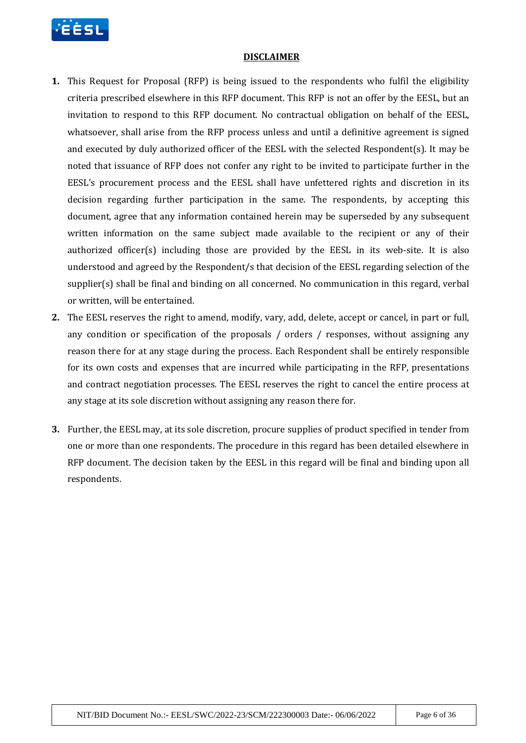

#### **DISCLAIMER**

- **1.** This Request for Proposal (RFP) is being issued to the respondents who fulfil the eligibility criteria prescribed elsewhere in this RFP document. This RFP is not an offer by the EESL, but an invitation to respond to this RFP document. No contractual obligation on behalf of the EESL, whatsoever, shall arise from the RFP process unless and until a definitive agreement is signed and executed by duly authorized officer of the EESL with the selected Respondent(s). It may be noted that issuance of RFP does not confer any right to be invited to participate further in the EESL's procurement process and the EESL shall have unfettered rights and discretion in its decision regarding further participation in the same. The respondents, by accepting this document, agree that any information contained herein may be superseded by any subsequent written information on the same subject made available to the recipient or any of their authorized officer(s) including those are provided by the EESL in its web-site. It is also understood and agreed by the Respondent/s that decision of the EESL regarding selection of the supplier(s) shall be final and binding on all concerned. No communication in this regard, verbal or written, will be entertained.
- **2.** The EESL reserves the right to amend, modify, vary, add, delete, accept or cancel, in part or full, any condition or specification of the proposals / orders / responses, without assigning any reason there for at any stage during the process. Each Respondent shall be entirely responsible for its own costs and expenses that are incurred while participating in the RFP, presentations and contract negotiation processes. The EESL reserves the right to cancel the entire process at any stage at its sole discretion without assigning any reason there for.
- **3.** Further, the EESL may, at its sole discretion, procure supplies of product specified in tender from one or more than one respondents. The procedure in this regard has been detailed elsewhere in RFP document. The decision taken by the EESL in this regard will be final and binding upon all respondents.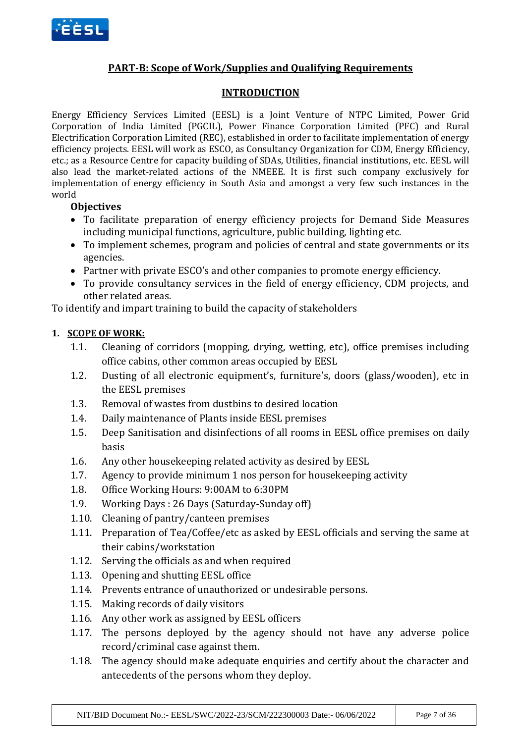

# **PART-B: Scope of Work/Supplies and Qualifying Requirements**

## **INTRODUCTION**

Energy Efficiency Services Limited (EESL) is a Joint Venture of NTPC Limited, Power Grid Corporation of India Limited (PGCIL), Power Finance Corporation Limited (PFC) and Rural Electrification Corporation Limited (REC), established in order to facilitate implementation of energy efficiency projects. EESL will work as ESCO, as Consultancy Organization for CDM, Energy Efficiency, etc.; as a Resource Centre for capacity building of SDAs, Utilities, financial institutions, etc. EESL will also lead the market-related actions of the NMEEE. It is first such company exclusively for implementation of energy efficiency in South Asia and amongst a very few such instances in the world

## **Objectives**

- To facilitate preparation of energy efficiency projects for Demand Side Measures including municipal functions, agriculture, public building, lighting etc.
- To implement schemes, program and policies of central and state governments or its agencies.
- Partner with private ESCO's and other companies to promote energy efficiency.
- To provide consultancy services in the field of energy efficiency, CDM projects, and other related areas.

To identify and impart training to build the capacity of stakeholders

## **1. SCOPE OF WORK:**

- 1.1. Cleaning of corridors (mopping, drying, wetting, etc), office premises including office cabins, other common areas occupied by EESL
- 1.2. Dusting of all electronic equipment's, furniture's, doors (glass/wooden), etc in the EESL premises
- 1.3. Removal of wastes from dustbins to desired location
- 1.4. Daily maintenance of Plants inside EESL premises
- 1.5. Deep Sanitisation and disinfections of all rooms in EESL office premises on daily basis
- 1.6. Any other housekeeping related activity as desired by EESL
- 1.7. Agency to provide minimum 1 nos person for housekeeping activity
- 1.8. Office Working Hours: 9:00AM to 6:30PM
- 1.9. Working Days : 26 Days (Saturday-Sunday off)
- 1.10. Cleaning of pantry/canteen premises
- 1.11. Preparation of Tea/Coffee/etc as asked by EESL officials and serving the same at their cabins/workstation
- 1.12. Serving the officials as and when required
- 1.13. Opening and shutting EESL office
- 1.14. Prevents entrance of unauthorized or undesirable persons.
- 1.15. Making records of daily visitors
- 1.16. Any other work as assigned by EESL officers
- 1.17. The persons deployed by the agency should not have any adverse police record/criminal case against them.
- 1.18. The agency should make adequate enquiries and certify about the character and antecedents of the persons whom they deploy.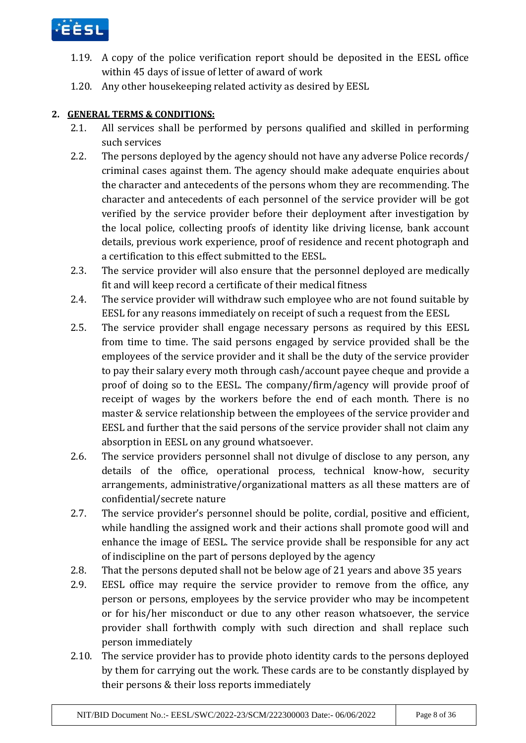

- 1.19. A copy of the police verification report should be deposited in the EESL office within 45 days of issue of letter of award of work
- 1.20. Any other housekeeping related activity as desired by EESL

# **2. GENERAL TERMS & CONDITIONS:**

- 2.1. All services shall be performed by persons qualified and skilled in performing such services
- 2.2. The persons deployed by the agency should not have any adverse Police records/ criminal cases against them. The agency should make adequate enquiries about the character and antecedents of the persons whom they are recommending. The character and antecedents of each personnel of the service provider will be got verified by the service provider before their deployment after investigation by the local police, collecting proofs of identity like driving license, bank account details, previous work experience, proof of residence and recent photograph and a certification to this effect submitted to the EESL.
- 2.3. The service provider will also ensure that the personnel deployed are medically fit and will keep record a certificate of their medical fitness
- 2.4. The service provider will withdraw such employee who are not found suitable by EESL for any reasons immediately on receipt of such a request from the EESL
- 2.5. The service provider shall engage necessary persons as required by this EESL from time to time. The said persons engaged by service provided shall be the employees of the service provider and it shall be the duty of the service provider to pay their salary every moth through cash/account payee cheque and provide a proof of doing so to the EESL. The company/firm/agency will provide proof of receipt of wages by the workers before the end of each month. There is no master & service relationship between the employees of the service provider and EESL and further that the said persons of the service provider shall not claim any absorption in EESL on any ground whatsoever.
- 2.6. The service providers personnel shall not divulge of disclose to any person, any details of the office, operational process, technical know-how, security arrangements, administrative/organizational matters as all these matters are of confidential/secrete nature
- 2.7. The service provider's personnel should be polite, cordial, positive and efficient, while handling the assigned work and their actions shall promote good will and enhance the image of EESL. The service provide shall be responsible for any act of indiscipline on the part of persons deployed by the agency
- 2.8. That the persons deputed shall not be below age of 21 years and above 35 years
- 2.9. EESL office may require the service provider to remove from the office, any person or persons, employees by the service provider who may be incompetent or for his/her misconduct or due to any other reason whatsoever, the service provider shall forthwith comply with such direction and shall replace such person immediately
- 2.10. The service provider has to provide photo identity cards to the persons deployed by them for carrying out the work. These cards are to be constantly displayed by their persons & their loss reports immediately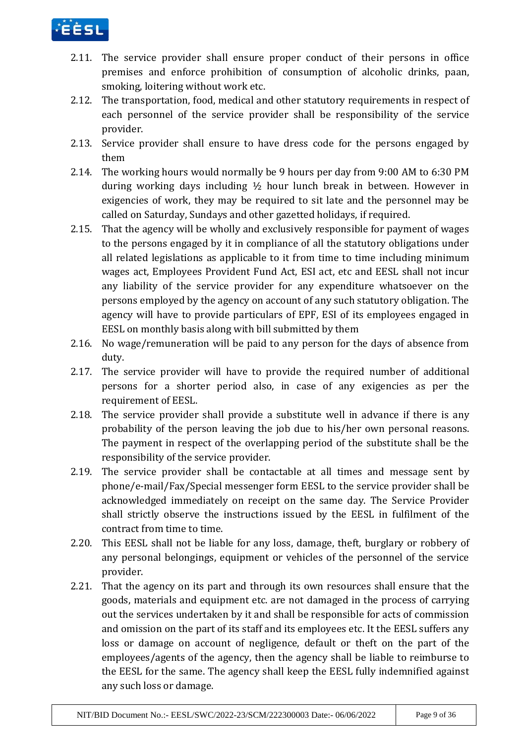

- 2.11. The service provider shall ensure proper conduct of their persons in office premises and enforce prohibition of consumption of alcoholic drinks, paan, smoking, loitering without work etc.
- 2.12. The transportation, food, medical and other statutory requirements in respect of each personnel of the service provider shall be responsibility of the service provider.
- 2.13. Service provider shall ensure to have dress code for the persons engaged by them
- 2.14. The working hours would normally be 9 hours per day from 9:00 AM to 6:30 PM during working days including ½ hour lunch break in between. However in exigencies of work, they may be required to sit late and the personnel may be called on Saturday, Sundays and other gazetted holidays, if required.
- 2.15. That the agency will be wholly and exclusively responsible for payment of wages to the persons engaged by it in compliance of all the statutory obligations under all related legislations as applicable to it from time to time including minimum wages act, Employees Provident Fund Act, ESI act, etc and EESL shall not incur any liability of the service provider for any expenditure whatsoever on the persons employed by the agency on account of any such statutory obligation. The agency will have to provide particulars of EPF, ESI of its employees engaged in EESL on monthly basis along with bill submitted by them
- 2.16. No wage/remuneration will be paid to any person for the days of absence from duty.
- 2.17. The service provider will have to provide the required number of additional persons for a shorter period also, in case of any exigencies as per the requirement of EESL.
- 2.18. The service provider shall provide a substitute well in advance if there is any probability of the person leaving the job due to his/her own personal reasons. The payment in respect of the overlapping period of the substitute shall be the responsibility of the service provider.
- 2.19. The service provider shall be contactable at all times and message sent by phone/e-mail/Fax/Special messenger form EESL to the service provider shall be acknowledged immediately on receipt on the same day. The Service Provider shall strictly observe the instructions issued by the EESL in fulfilment of the contract from time to time.
- 2.20. This EESL shall not be liable for any loss, damage, theft, burglary or robbery of any personal belongings, equipment or vehicles of the personnel of the service provider.
- 2.21. That the agency on its part and through its own resources shall ensure that the goods, materials and equipment etc. are not damaged in the process of carrying out the services undertaken by it and shall be responsible for acts of commission and omission on the part of its staff and its employees etc. It the EESL suffers any loss or damage on account of negligence, default or theft on the part of the employees/agents of the agency, then the agency shall be liable to reimburse to the EESL for the same. The agency shall keep the EESL fully indemnified against any such loss or damage.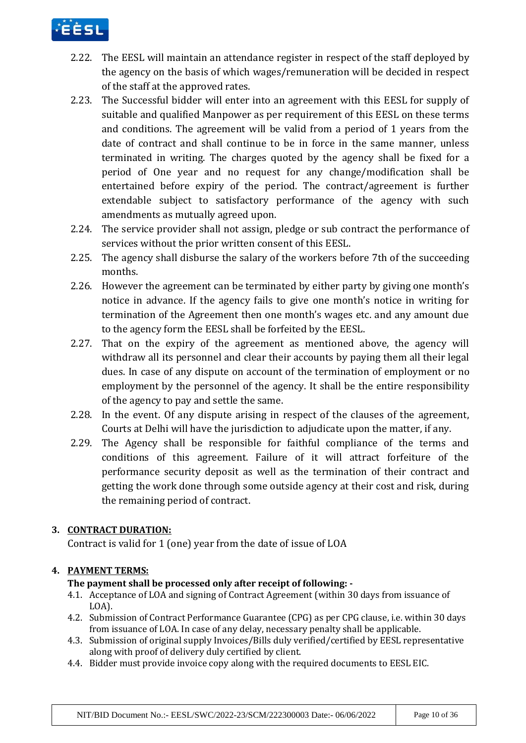

- 2.22. The EESL will maintain an attendance register in respect of the staff deployed by the agency on the basis of which wages/remuneration will be decided in respect of the staff at the approved rates.
- 2.23. The Successful bidder will enter into an agreement with this EESL for supply of suitable and qualified Manpower as per requirement of this EESL on these terms and conditions. The agreement will be valid from a period of 1 years from the date of contract and shall continue to be in force in the same manner, unless terminated in writing. The charges quoted by the agency shall be fixed for a period of One year and no request for any change/modification shall be entertained before expiry of the period. The contract/agreement is further extendable subject to satisfactory performance of the agency with such amendments as mutually agreed upon.
- 2.24. The service provider shall not assign, pledge or sub contract the performance of services without the prior written consent of this EESL.
- 2.25. The agency shall disburse the salary of the workers before 7th of the succeeding months.
- 2.26. However the agreement can be terminated by either party by giving one month's notice in advance. If the agency fails to give one month's notice in writing for termination of the Agreement then one month's wages etc. and any amount due to the agency form the EESL shall be forfeited by the EESL.
- 2.27. That on the expiry of the agreement as mentioned above, the agency will withdraw all its personnel and clear their accounts by paying them all their legal dues. In case of any dispute on account of the termination of employment or no employment by the personnel of the agency. It shall be the entire responsibility of the agency to pay and settle the same.
- 2.28. In the event. Of any dispute arising in respect of the clauses of the agreement, Courts at Delhi will have the jurisdiction to adjudicate upon the matter, if any.
- 2.29. The Agency shall be responsible for faithful compliance of the terms and conditions of this agreement. Failure of it will attract forfeiture of the performance security deposit as well as the termination of their contract and getting the work done through some outside agency at their cost and risk, during the remaining period of contract.

# **3. CONTRACT DURATION:**

Contract is valid for 1 (one) year from the date of issue of LOA

# **4. PAYMENT TERMS:**

# **The payment shall be processed only after receipt of following: -**

- 4.1. Acceptance of LOA and signing of Contract Agreement (within 30 days from issuance of LOA).
- 4.2. Submission of Contract Performance Guarantee (CPG) as per CPG clause, i.e. within 30 days from issuance of LOA. In case of any delay, necessary penalty shall be applicable.
- 4.3. Submission of original supply Invoices/Bills duly verified/certified by EESL representative along with proof of delivery duly certified by client.
- 4.4. Bidder must provide invoice copy along with the required documents to EESL EIC.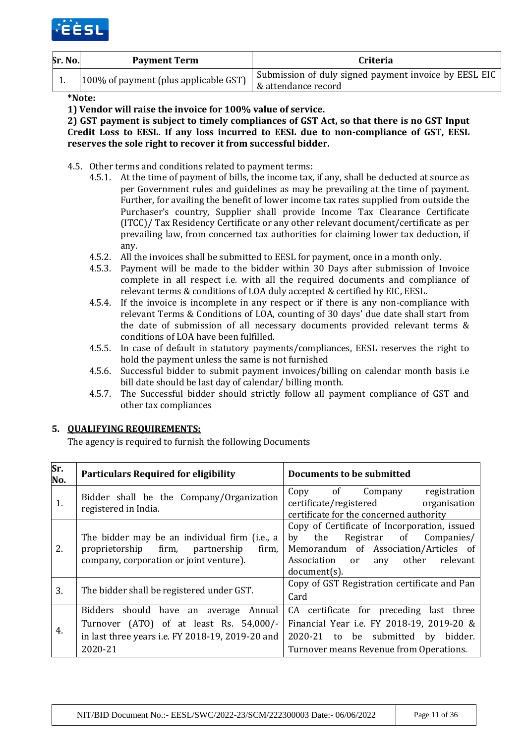

| Sr. No. | <b>Payment Term</b>                   | <b>Criteria</b>                                       |
|---------|---------------------------------------|-------------------------------------------------------|
|         | 100% of payment (plus applicable GST) | Submission of duly signed payment invoice by EESL EIC |
|         |                                       | & attendance record                                   |

**\*Note:** 

**1) Vendor will raise the invoice for 100% value of service.** 

**2) GST payment is subject to timely compliances of GST Act, so that there is no GST Input Credit Loss to EESL. If any loss incurred to EESL due to non-compliance of GST, EESL reserves the sole right to recover it from successful bidder.** 

- 4.5. Other terms and conditions related to payment terms:
	- 4.5.1. At the time of payment of bills, the income tax, if any, shall be deducted at source as per Government rules and guidelines as may be prevailing at the time of payment. Further, for availing the benefit of lower income tax rates supplied from outside the Purchaser's country, Supplier shall provide Income Tax Clearance Certificate (ITCC)/ Tax Residency Certificate or any other relevant document/certificate as per prevailing law, from concerned tax authorities for claiming lower tax deduction, if any.
	- 4.5.2. All the invoices shall be submitted to EESL for payment, once in a month only.
	- 4.5.3. Payment will be made to the bidder within 30 Days after submission of Invoice complete in all respect i.e. with all the required documents and compliance of relevant terms & conditions of LOA duly accepted & certified by EIC, EESL.
	- 4.5.4. If the invoice is incomplete in any respect or if there is any non-compliance with relevant Terms & Conditions of LOA, counting of 30 days' due date shall start from the date of submission of all necessary documents provided relevant terms & conditions of LOA have been fulfilled.
	- 4.5.5. In case of default in statutory payments/compliances, EESL reserves the right to hold the payment unless the same is not furnished
	- 4.5.6. Successful bidder to submit payment invoices/billing on calendar month basis i.e bill date should be last day of calendar/ billing month.
	- 4.5.7. The Successful bidder should strictly follow all payment compliance of GST and other tax compliances

#### **5. QUALIFYING REQUIREMENTS:**

The agency is required to furnish the following Documents

| Sr.<br>No. | <b>Particulars Required for eligibility</b>                                                                                                     | Documents to be submitted                                                                                                                                                                      |
|------------|-------------------------------------------------------------------------------------------------------------------------------------------------|------------------------------------------------------------------------------------------------------------------------------------------------------------------------------------------------|
| 1.         | Bidder shall be the Company/Organization<br>registered in India.                                                                                | Copy of Company<br>registration<br>certificate/registered organisation<br>certificate for the concerned authority                                                                              |
| 2.         | The bidder may be an individual firm (i.e., a<br>proprietorship firm, partnership<br>firm,<br>company, corporation or joint venture).           | Copy of Certificate of Incorporation, issued<br>Registrar of Companies/<br>by<br>the<br>Memorandum of Association/Articles of<br>other<br>Association<br>relevant<br>or<br>any<br>document(s). |
| 3.         | The bidder shall be registered under GST.                                                                                                       | Copy of GST Registration certificate and Pan<br>Card                                                                                                                                           |
| 4.         | Bidders should have an average Annual<br>Turnover (ATO) of at least Rs. 54,000/-<br>in last three years i.e. FY 2018-19, 2019-20 and<br>2020-21 | CA certificate for preceding last three<br>Financial Year i.e. FY 2018-19, 2019-20 &<br>2020-21 to be submitted by<br>bidder.<br>Turnover means Revenue from Operations.                       |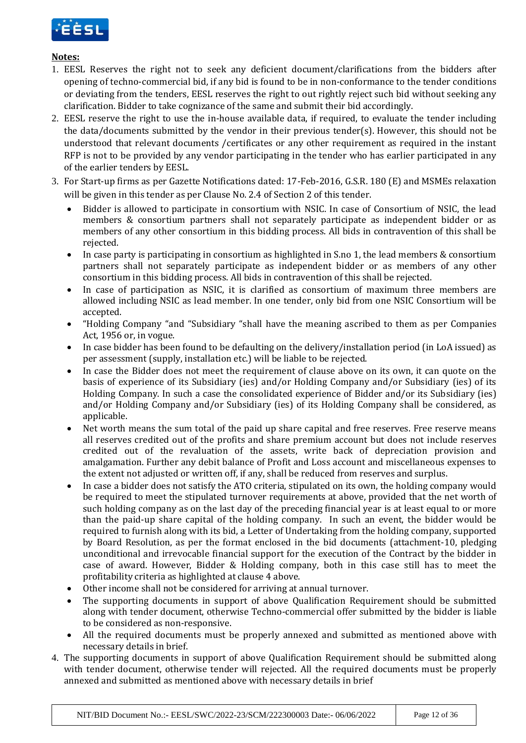

## **Notes:**

- 1. EESL Reserves the right not to seek any deficient document/clarifications from the bidders after opening of techno-commercial bid, if any bid is found to be in non-conformance to the tender conditions or deviating from the tenders, EESL reserves the right to out rightly reject such bid without seeking any clarification. Bidder to take cognizance of the same and submit their bid accordingly.
- 2. EESL reserve the right to use the in-house available data, if required, to evaluate the tender including the data/documents submitted by the vendor in their previous tender(s). However, this should not be understood that relevant documents /certificates or any other requirement as required in the instant RFP is not to be provided by any vendor participating in the tender who has earlier participated in any of the earlier tenders by EESL.
- 3. For Start-up firms as per Gazette Notifications dated: 17-Feb-2016, G.S.R. 180 (E) and MSMEs relaxation will be given in this tender as per Clause No. 2.4 of Section 2 of this tender.
	- Bidder is allowed to participate in consortium with NSIC. In case of Consortium of NSIC, the lead members & consortium partners shall not separately participate as independent bidder or as members of any other consortium in this bidding process. All bids in contravention of this shall be rejected.
	- In case party is participating in consortium as highlighted in S.no 1, the lead members & consortium partners shall not separately participate as independent bidder or as members of any other consortium in this bidding process. All bids in contravention of this shall be rejected.
	- In case of participation as NSIC, it is clarified as consortium of maximum three members are allowed including NSIC as lead member. In one tender, only bid from one NSIC Consortium will be accepted.
	- "Holding Company "and "Subsidiary "shall have the meaning ascribed to them as per Companies Act, 1956 or, in vogue.
	- In case bidder has been found to be defaulting on the delivery/installation period (in LoA issued) as per assessment (supply, installation etc.) will be liable to be rejected.
	- In case the Bidder does not meet the requirement of clause above on its own, it can quote on the basis of experience of its Subsidiary (ies) and/or Holding Company and/or Subsidiary (ies) of its Holding Company. In such a case the consolidated experience of Bidder and/or its Subsidiary (ies) and/or Holding Company and/or Subsidiary (ies) of its Holding Company shall be considered, as applicable.
	- Net worth means the sum total of the paid up share capital and free reserves. Free reserve means all reserves credited out of the profits and share premium account but does not include reserves credited out of the revaluation of the assets, write back of depreciation provision and amalgamation. Further any debit balance of Profit and Loss account and miscellaneous expenses to the extent not adjusted or written off, if any, shall be reduced from reserves and surplus.
	- In case a bidder does not satisfy the ATO criteria, stipulated on its own, the holding company would be required to meet the stipulated turnover requirements at above, provided that the net worth of such holding company as on the last day of the preceding financial year is at least equal to or more than the paid-up share capital of the holding company. In such an event, the bidder would be required to furnish along with its bid, a Letter of Undertaking from the holding company, supported by Board Resolution, as per the format enclosed in the bid documents (attachment-10, pledging unconditional and irrevocable financial support for the execution of the Contract by the bidder in case of award. However, Bidder & Holding company, both in this case still has to meet the profitability criteria as highlighted at clause 4 above.
	- Other income shall not be considered for arriving at annual turnover.
	- The supporting documents in support of above Qualification Requirement should be submitted along with tender document, otherwise Techno-commercial offer submitted by the bidder is liable to be considered as non-responsive.
	- All the required documents must be properly annexed and submitted as mentioned above with necessary details in brief.
- 4. The supporting documents in support of above Qualification Requirement should be submitted along with tender document, otherwise tender will rejected. All the required documents must be properly annexed and submitted as mentioned above with necessary details in brief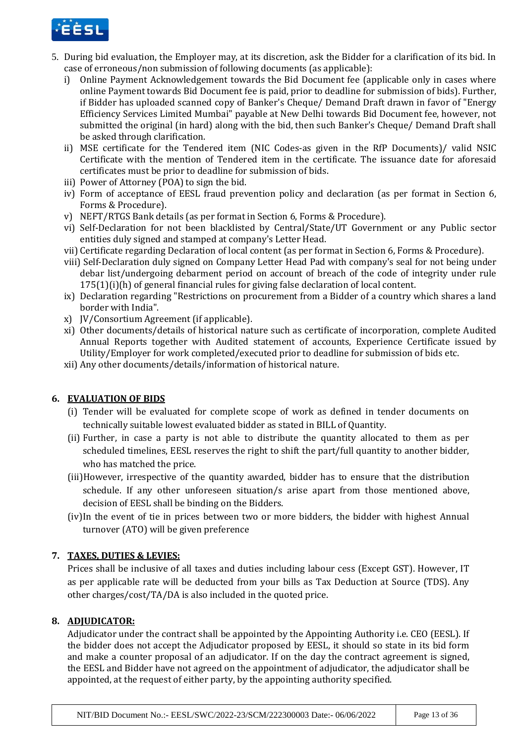

- 5. During bid evaluation, the Employer may, at its discretion, ask the Bidder for a clarification of its bid. In case of erroneous/non submission of following documents (as applicable):
	- i) Online Payment Acknowledgement towards the Bid Document fee (applicable only in cases where online Payment towards Bid Document fee is paid, prior to deadline for submission of bids). Further, if Bidder has uploaded scanned copy of Banker's Cheque/ Demand Draft drawn in favor of "Energy Efficiency Services Limited Mumbai" payable at New Delhi towards Bid Document fee, however, not submitted the original (in hard) along with the bid, then such Banker's Cheque/ Demand Draft shall be asked through clarification.
	- ii) MSE certificate for the Tendered item (NIC Codes-as given in the RfP Documents)/ valid NSIC Certificate with the mention of Tendered item in the certificate. The issuance date for aforesaid certificates must be prior to deadline for submission of bids.
	- iii) Power of Attorney (POA) to sign the bid.
	- iv) Form of acceptance of EESL fraud prevention policy and declaration (as per format in Section 6, Forms & Procedure).
	- v) NEFT/RTGS Bank details (as per format in Section 6, Forms & Procedure).
	- vi) Self-Declaration for not been blacklisted by Central/State/UT Government or any Public sector entities duly signed and stamped at company's Letter Head.
	- vii) Certificate regarding Declaration of local content (as per format in Section 6, Forms & Procedure).
	- viii) Self-Declaration duly signed on Company Letter Head Pad with company's seal for not being under debar list/undergoing debarment period on account of breach of the code of integrity under rule 175(1)(i)(h) of general financial rules for giving false declaration of local content.
	- ix) Declaration regarding "Restrictions on procurement from a Bidder of a country which shares a land border with India".
	- x) JV/Consortium Agreement (if applicable).
	- xi) Other documents/details of historical nature such as certificate of incorporation, complete Audited Annual Reports together with Audited statement of accounts, Experience Certificate issued by Utility/Employer for work completed/executed prior to deadline for submission of bids etc.
	- xii) Any other documents/details/information of historical nature.

### **6. EVALUATION OF BIDS**

- (i) Tender will be evaluated for complete scope of work as defined in tender documents on technically suitable lowest evaluated bidder as stated in BILL of Quantity.
- (ii) Further, in case a party is not able to distribute the quantity allocated to them as per scheduled timelines, EESL reserves the right to shift the part/full quantity to another bidder, who has matched the price.
- (iii)However, irrespective of the quantity awarded, bidder has to ensure that the distribution schedule. If any other unforeseen situation/s arise apart from those mentioned above, decision of EESL shall be binding on the Bidders.
- (iv)In the event of tie in prices between two or more bidders, the bidder with highest Annual turnover (ATO) will be given preference

### **7. TAXES, DUTIES & LEVIES:**

Prices shall be inclusive of all taxes and duties including labour cess (Except GST). However, IT as per applicable rate will be deducted from your bills as Tax Deduction at Source (TDS). Any other charges/cost/TA/DA is also included in the quoted price.

### **8. ADJUDICATOR:**

Adjudicator under the contract shall be appointed by the Appointing Authority i.e. CEO (EESL). If the bidder does not accept the Adjudicator proposed by EESL, it should so state in its bid form and make a counter proposal of an adjudicator. If on the day the contract agreement is signed, the EESL and Bidder have not agreed on the appointment of adjudicator, the adjudicator shall be appointed, at the request of either party, by the appointing authority specified.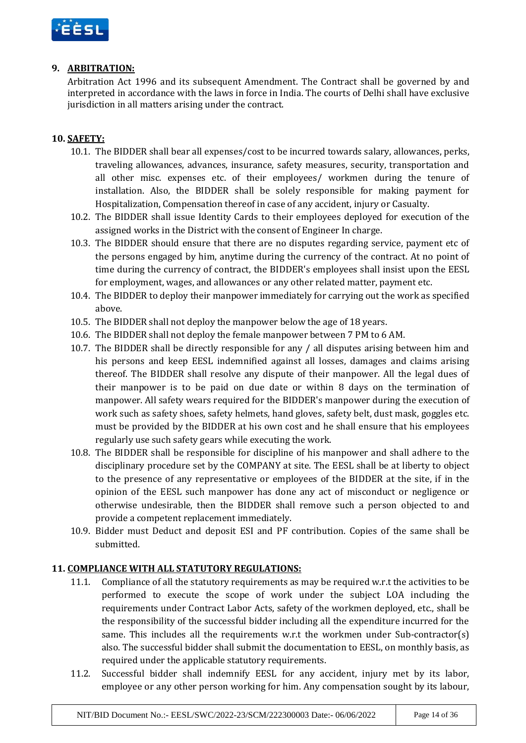

### **9. ARBITRATION:**

Arbitration Act 1996 and its subsequent Amendment. The Contract shall be governed by and interpreted in accordance with the laws in force in India. The courts of Delhi shall have exclusive jurisdiction in all matters arising under the contract.

# **10. SAFETY:**

- 10.1. The BIDDER shall bear all expenses/cost to be incurred towards salary, allowances, perks, traveling allowances, advances, insurance, safety measures, security, transportation and all other misc. expenses etc. of their employees/ workmen during the tenure of installation. Also, the BIDDER shall be solely responsible for making payment for Hospitalization, Compensation thereof in case of any accident, injury or Casualty.
- 10.2. The BIDDER shall issue Identity Cards to their employees deployed for execution of the assigned works in the District with the consent of Engineer In charge.
- 10.3. The BIDDER should ensure that there are no disputes regarding service, payment etc of the persons engaged by him, anytime during the currency of the contract. At no point of time during the currency of contract, the BIDDER's employees shall insist upon the EESL for employment, wages, and allowances or any other related matter, payment etc.
- 10.4. The BIDDER to deploy their manpower immediately for carrying out the work as specified above.
- 10.5. The BIDDER shall not deploy the manpower below the age of 18 years.
- 10.6. The BIDDER shall not deploy the female manpower between 7 PM to 6 AM.
- 10.7. The BIDDER shall be directly responsible for any / all disputes arising between him and his persons and keep EESL indemnified against all losses, damages and claims arising thereof. The BIDDER shall resolve any dispute of their manpower. All the legal dues of their manpower is to be paid on due date or within 8 days on the termination of manpower. All safety wears required for the BIDDER's manpower during the execution of work such as safety shoes, safety helmets, hand gloves, safety belt, dust mask, goggles etc. must be provided by the BIDDER at his own cost and he shall ensure that his employees regularly use such safety gears while executing the work.
- 10.8. The BIDDER shall be responsible for discipline of his manpower and shall adhere to the disciplinary procedure set by the COMPANY at site. The EESL shall be at liberty to object to the presence of any representative or employees of the BIDDER at the site, if in the opinion of the EESL such manpower has done any act of misconduct or negligence or otherwise undesirable, then the BIDDER shall remove such a person objected to and provide a competent replacement immediately.
- 10.9. Bidder must Deduct and deposit ESI and PF contribution. Copies of the same shall be submitted.

### **11. COMPLIANCE WITH ALL STATUTORY REGULATIONS:**

- 11.1. Compliance of all the statutory requirements as may be required w.r.t the activities to be performed to execute the scope of work under the subject LOA including the requirements under Contract Labor Acts, safety of the workmen deployed, etc., shall be the responsibility of the successful bidder including all the expenditure incurred for the same. This includes all the requirements w.r.t the workmen under Sub-contractor(s) also. The successful bidder shall submit the documentation to EESL, on monthly basis, as required under the applicable statutory requirements.
- 11.2. Successful bidder shall indemnify EESL for any accident, injury met by its labor, employee or any other person working for him. Any compensation sought by its labour,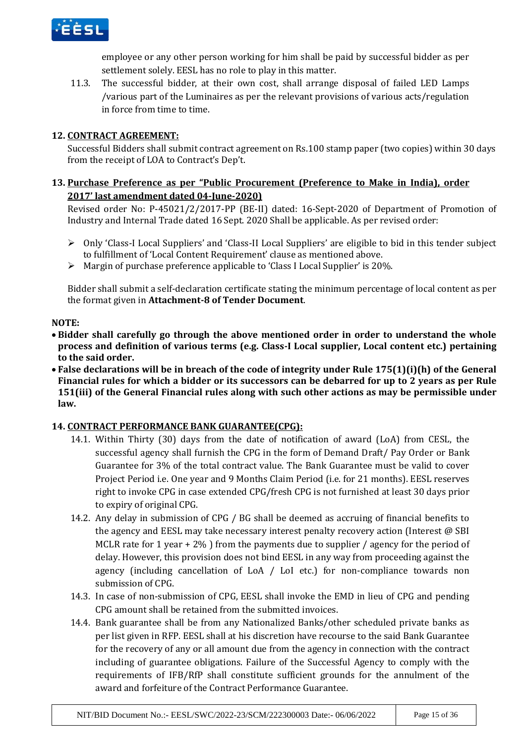

employee or any other person working for him shall be paid by successful bidder as per settlement solely. EESL has no role to play in this matter.

11.3. The successful bidder, at their own cost, shall arrange disposal of failed LED Lamps /various part of the Luminaires as per the relevant provisions of various acts/regulation in force from time to time.

### **12. CONTRACT AGREEMENT:**

Successful Bidders shall submit contract agreement on Rs.100 stamp paper (two copies) within 30 days from the receipt of LOA to Contract's Dep't.

## **13. Purchase Preference as per "Public Procurement (Preference to Make in India), order 2017' last amendment dated 04-June-2020)**

Revised order No: P-45021/2/2017-PP (BE-II) dated: 16-Sept-2020 of Department of Promotion of Industry and Internal Trade dated 16 Sept. 2020 Shall be applicable. As per revised order:

- $\triangleright$  Only 'Class-I Local Suppliers' and 'Class-II Local Suppliers' are eligible to bid in this tender subject to fulfillment of 'Local Content Requirement' clause as mentioned above.
- Margin of purchase preference applicable to 'Class I Local Supplier' is 20%.

Bidder shall submit a self-declaration certificate stating the minimum percentage of local content as per the format given in **Attachment-8 of Tender Document**.

### **NOTE:**

- **Bidder shall carefully go through the above mentioned order in order to understand the whole process and definition of various terms (e.g. Class-I Local supplier, Local content etc.) pertaining to the said order.**
- **False declarations will be in breach of the code of integrity under Rule 175(1)(i)(h) of the General Financial rules for which a bidder or its successors can be debarred for up to 2 years as per Rule 151(iii) of the General Financial rules along with such other actions as may be permissible under law.**

# **14. CONTRACT PERFORMANCE BANK GUARANTEE(CPG):**

- 14.1. Within Thirty (30) days from the date of notification of award (LoA) from CESL, the successful agency shall furnish the CPG in the form of Demand Draft/ Pay Order or Bank Guarantee for 3% of the total contract value. The Bank Guarantee must be valid to cover Project Period i.e. One year and 9 Months Claim Period (i.e. for 21 months). EESL reserves right to invoke CPG in case extended CPG/fresh CPG is not furnished at least 30 days prior to expiry of original CPG.
- 14.2. Any delay in submission of CPG / BG shall be deemed as accruing of financial benefits to the agency and EESL may take necessary interest penalty recovery action (Interest @ SBI MCLR rate for 1 year  $+2\%$  ) from the payments due to supplier / agency for the period of delay. However, this provision does not bind EESL in any way from proceeding against the agency (including cancellation of LoA / LoI etc.) for non-compliance towards non submission of CPG.
- 14.3. In case of non-submission of CPG, EESL shall invoke the EMD in lieu of CPG and pending CPG amount shall be retained from the submitted invoices.
- 14.4. Bank guarantee shall be from any Nationalized Banks/other scheduled private banks as per list given in RFP. EESL shall at his discretion have recourse to the said Bank Guarantee for the recovery of any or all amount due from the agency in connection with the contract including of guarantee obligations. Failure of the Successful Agency to comply with the requirements of IFB/RfP shall constitute sufficient grounds for the annulment of the award and forfeiture of the Contract Performance Guarantee.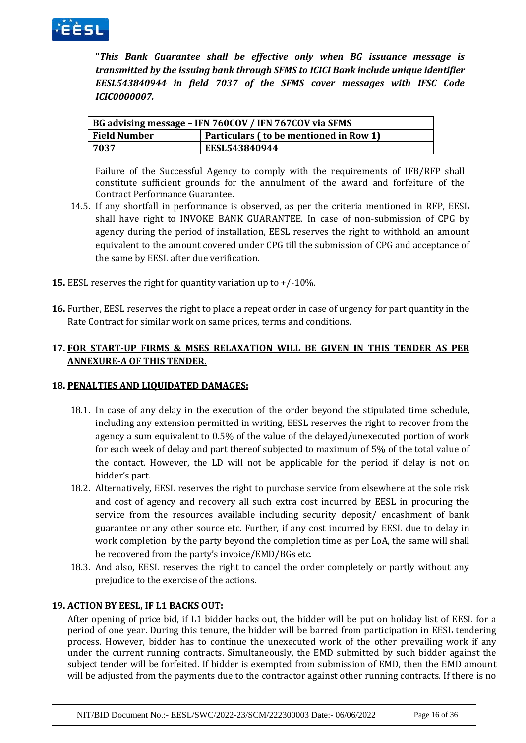

**"***This Bank Guarantee shall be effective only when BG issuance message is transmitted by the issuing bank through SFMS to ICICI Bank include unique identifier EESL543840944 in field 7037 of the SFMS cover messages with IFSC Code ICIC0000007.*

| BG advising message – IFN 760COV / IFN 767COV via SFMS |                                        |  |  |
|--------------------------------------------------------|----------------------------------------|--|--|
| <b>Field Number</b>                                    | Particulars (to be mentioned in Row 1) |  |  |
| 7037                                                   | EESL543840944                          |  |  |

Failure of the Successful Agency to comply with the requirements of IFB/RFP shall constitute sufficient grounds for the annulment of the award and forfeiture of the Contract Performance Guarantee.

- 14.5. If any shortfall in performance is observed, as per the criteria mentioned in RFP, EESL shall have right to INVOKE BANK GUARANTEE. In case of non-submission of CPG by agency during the period of installation, EESL reserves the right to withhold an amount equivalent to the amount covered under CPG till the submission of CPG and acceptance of the same by EESL after due verification.
- **15.** EESL reserves the right for quantity variation up to +/-10%.
- **16.** Further, EESL reserves the right to place a repeat order in case of urgency for part quantity in the Rate Contract for similar work on same prices, terms and conditions.

# **17. FOR START-UP FIRMS & MSES RELAXATION WILL BE GIVEN IN THIS TENDER AS PER ANNEXURE-A OF THIS TENDER.**

### **18. PENALTIES AND LIQUIDATED DAMAGES:**

- 18.1. In case of any delay in the execution of the order beyond the stipulated time schedule, including any extension permitted in writing, EESL reserves the right to recover from the agency a sum equivalent to 0.5% of the value of the delayed/unexecuted portion of work for each week of delay and part thereof subjected to maximum of 5% of the total value of the contact. However, the LD will not be applicable for the period if delay is not on bidder's part.
- 18.2. Alternatively, EESL reserves the right to purchase service from elsewhere at the sole risk and cost of agency and recovery all such extra cost incurred by EESL in procuring the service from the resources available including security deposit/ encashment of bank guarantee or any other source etc. Further, if any cost incurred by EESL due to delay in work completion by the party beyond the completion time as per LoA, the same will shall be recovered from the party's invoice/EMD/BGs etc.
- 18.3. And also, EESL reserves the right to cancel the order completely or partly without any prejudice to the exercise of the actions.

### **19. ACTION BY EESL, IF L1 BACKS OUT:**

After opening of price bid, if L1 bidder backs out, the bidder will be put on holiday list of EESL for a period of one year. During this tenure, the bidder will be barred from participation in EESL tendering process. However, bidder has to continue the unexecuted work of the other prevailing work if any under the current running contracts. Simultaneously, the EMD submitted by such bidder against the subject tender will be forfeited. If bidder is exempted from submission of EMD, then the EMD amount will be adjusted from the payments due to the contractor against other running contracts. If there is no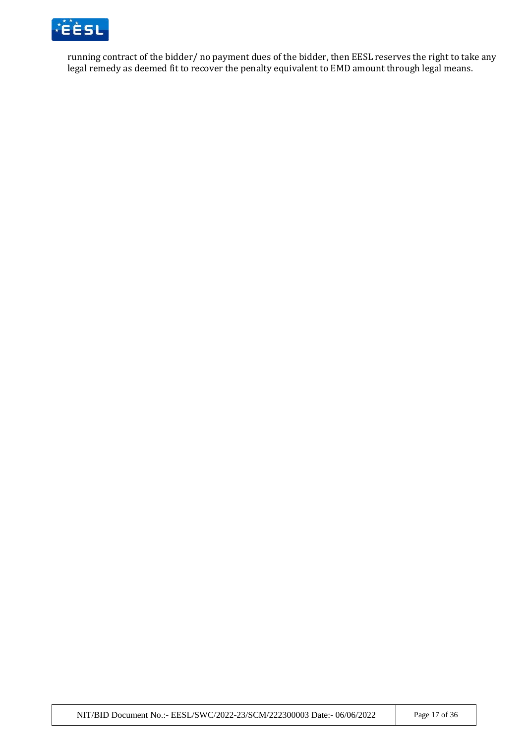

running contract of the bidder/ no payment dues of the bidder, then EESL reserves the right to take any legal remedy as deemed fit to recover the penalty equivalent to EMD amount through legal means.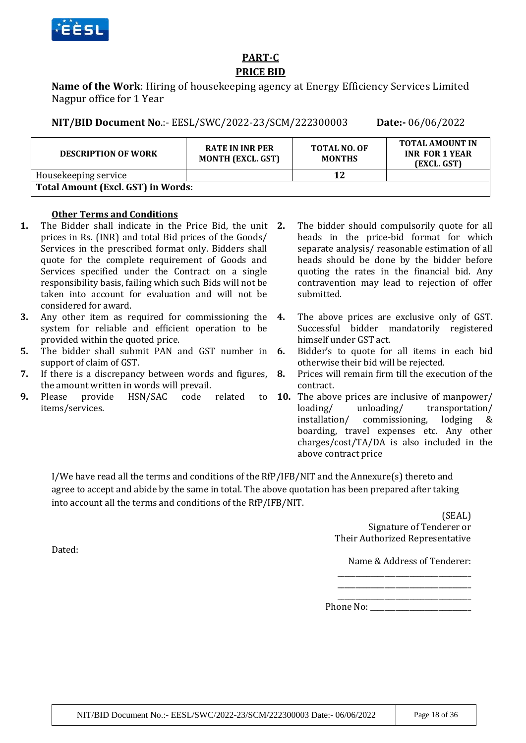

# **PART-C PRICE BID**

**Name of the Work**: Hiring of housekeeping agency at Energy Efficiency Services Limited Nagpur office for 1 Year

**NIT/BID Document No**.:- EESL/SWC/2022-23/SCM/222300003 **Date:-** 06/06/2022

| <b>DESCRIPTION OF WORK</b>                | <b>RATE IN INR PER</b><br><b>MONTH (EXCL. GST)</b> | <b>TOTAL NO. OF</b><br><b>MONTHS</b> | <b>TOTAL AMOUNT IN</b><br><b>INR FOR 1 YEAR</b><br>(EXCL. GST) |
|-------------------------------------------|----------------------------------------------------|--------------------------------------|----------------------------------------------------------------|
| Housekeeping service                      |                                                    | 12                                   |                                                                |
| <b>Total Amount (Excl. GST) in Words:</b> |                                                    |                                      |                                                                |

### **Other Terms and Conditions**

- **1.** The Bidder shall indicate in the Price Bid, the unit prices in Rs. (INR) and total Bid prices of the Goods/ Services in the prescribed format only. Bidders shall quote for the complete requirement of Goods and Services specified under the Contract on a single responsibility basis, failing which such Bids will not be taken into account for evaluation and will not be considered for award.
- **3.** Any other item as required for commissioning the 4. system for reliable and efficient operation to be provided within the quoted price.
- **5.** The bidder shall submit PAN and GST number in **6.** support of claim of GST.
- **7.** If there is a discrepancy between words and figures, the amount written in words will prevail.
- **9.** Please provide HSN/SAC code related items/services.
- **2.** The bidder should compulsorily quote for all heads in the price-bid format for which separate analysis/ reasonable estimation of all heads should be done by the bidder before quoting the rates in the financial bid. Any contravention may lead to rejection of offer submitted.
- **4.** The above prices are exclusive only of GST. Successful bidder mandatorily registered himself under GST act.
- **6.** Bidder's to quote for all items in each bid otherwise their bid will be rejected.
- **8.** Prices will remain firm till the execution of the contract.
- **10.** The above prices are inclusive of manpower/ loading/ unloading/ transportation/ installation/ commissioning, lodging & boarding, travel expenses etc. Any other charges/cost/TA/DA is also included in the above contract price

I/We have read all the terms and conditions of the RfP/IFB/NIT and the Annexure(s) thereto and agree to accept and abide by the same in total. The above quotation has been prepared after taking into account all the terms and conditions of the RfP/IFB/NIT.

> (SEAL) Signature of Tenderer or Their Authorized Representative

Name & Address of Tenderer: \_\_\_\_\_\_\_\_\_\_\_\_\_\_\_\_\_\_\_\_\_\_\_\_\_\_\_\_\_\_\_\_\_\_\_\_\_

\_\_\_\_\_\_\_\_\_\_\_\_\_\_\_\_\_\_\_\_\_\_\_\_\_\_\_\_\_\_\_\_\_\_\_\_\_ Phone No:

\_\_\_\_\_\_\_\_\_\_\_\_\_\_\_\_\_\_\_\_\_\_\_\_\_\_\_\_\_\_\_\_\_\_\_\_\_

Dated: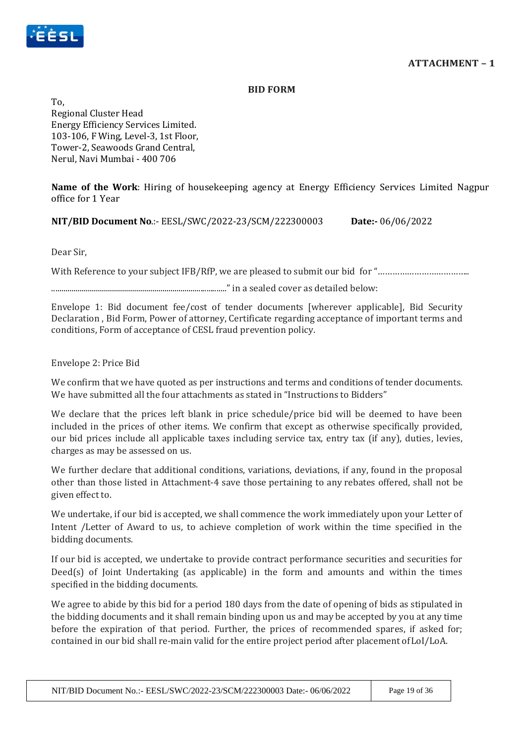



#### **BID FORM**

To, Regional Cluster Head Energy Efficiency Services Limited. 103-106, F Wing, Level-3, 1st Floor, Tower-2, Seawoods Grand Central, Nerul, Navi Mumbai - 400 706

**Name of the Work**: Hiring of housekeeping agency at Energy Efficiency Services Limited Nagpur office for 1 Year

**NIT/BID Document No**.:- EESL/SWC/2022-23/SCM/222300003 **Date:-** 06/06/2022

Dear Sir,

With Reference to your subject IFB/RfP, we are pleased to submit our bid for "……………………………………………………………………………………

........................................................................................" in a sealed cover as detailed below:

Envelope 1: Bid document fee/cost of tender documents [wherever applicable], Bid Security Declaration , Bid Form, Power of attorney, Certificate regarding acceptance of important terms and conditions, Form of acceptance of CESL fraud prevention policy.

### Envelope 2: Price Bid

We confirm that we have quoted as per instructions and terms and conditions of tender documents. We have submitted all the four attachments as stated in "Instructions to Bidders"

We declare that the prices left blank in price schedule/price bid will be deemed to have been included in the prices of other items. We confirm that except as otherwise specifically provided, our bid prices include all applicable taxes including service tax, entry tax (if any), duties, levies, charges as may be assessed on us.

We further declare that additional conditions, variations, deviations, if any, found in the proposal other than those listed in Attachment-4 save those pertaining to any rebates offered, shall not be given effect to.

We undertake, if our bid is accepted, we shall commence the work immediately upon your Letter of Intent /Letter of Award to us, to achieve completion of work within the time specified in the bidding documents.

If our bid is accepted, we undertake to provide contract performance securities and securities for Deed(s) of Joint Undertaking (as applicable) in the form and amounts and within the times specified in the bidding documents.

We agree to abide by this bid for a period 180 days from the date of opening of bids as stipulated in the bidding documents and it shall remain binding upon us and may be accepted by you at any time before the expiration of that period. Further, the prices of recommended spares, if asked for; contained in our bid shall re-main valid for the entire project period after placement ofLoI/LoA.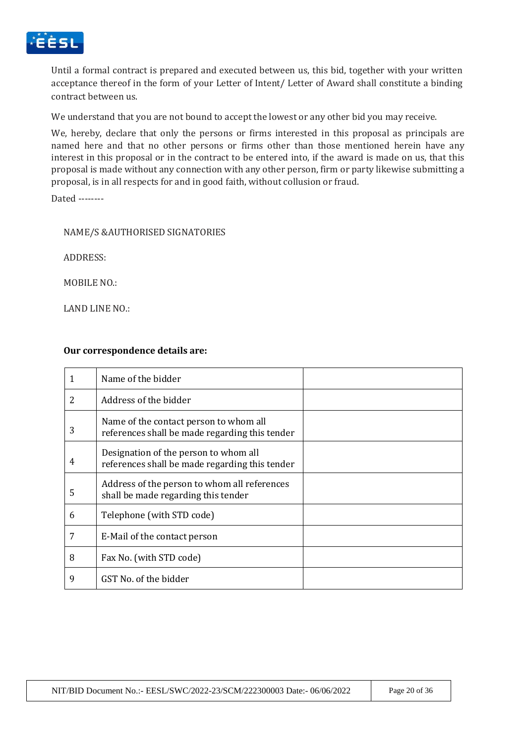

Until a formal contract is prepared and executed between us, this bid, together with your written acceptance thereof in the form of your Letter of Intent/ Letter of Award shall constitute a binding contract between us.

We understand that you are not bound to accept the lowest or any other bid you may receive.

We, hereby, declare that only the persons or firms interested in this proposal as principals are named here and that no other persons or firms other than those mentioned herein have any interest in this proposal or in the contract to be entered into, if the award is made on us, that this proposal is made without any connection with any other person, firm or party likewise submitting a proposal, is in all respects for and in good faith, without collusion or fraud.

Dated --------

#### NAME/S &AUTHORISED SIGNATORIES

ADDRESS:

MOBILE NO.:

LAND LINE NO.:

#### **Our correspondence details are:**

|                | Name of the bidder                                                                       |  |
|----------------|------------------------------------------------------------------------------------------|--|
| $\overline{2}$ | Address of the bidder                                                                    |  |
| 3              | Name of the contact person to whom all<br>references shall be made regarding this tender |  |
| 4              | Designation of the person to whom all<br>references shall be made regarding this tender  |  |
| 5              | Address of the person to whom all references<br>shall be made regarding this tender      |  |
| 6              | Telephone (with STD code)                                                                |  |
| 7              | E-Mail of the contact person                                                             |  |
| 8              | Fax No. (with STD code)                                                                  |  |
| 9              | GST No. of the bidder                                                                    |  |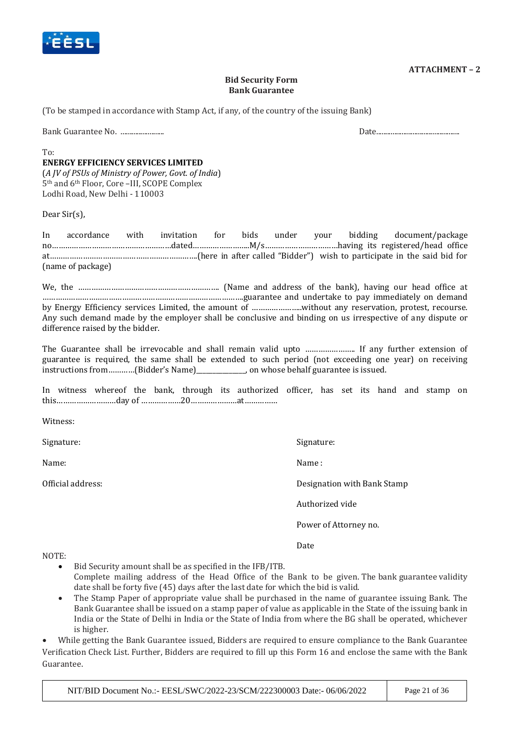

#### **ATTACHMENT – 2**

#### **Bid Security Form Bank Guarantee**

(To be stamped in accordance with Stamp Act, if any, of the country of the issuing Bank)

Bank Guarantee No. ........................ Date..............................................

 $T_0$ 

#### **ENERGY EFFICIENCY SERVICES LIMITED**

(*A JV of PSUs of Ministry of Power, Govt. of India*) 5th and 6th Floor, Core –III, SCOPE Complex Lodhi Road, New Delhi - 110003

Dear Sir(s),

In accordance with invitation for bids under your bidding document/package no………………………………………………dated……………………..M/s……………………………having its registered/head office at………………………………………………………….(here in after called "Bidder") wish to participate in the said bid for (name of package)

We, the ………………………………………………………. (Name and address of the bank), having our head office at ……………………………………………………………………………….guarantee and undertake to pay immediately on demand by Energy Efficiency services Limited, the amount of …………………..without any reservation, protest, recourse. Any such demand made by the employer shall be conclusive and binding on us irrespective of any dispute or difference raised by the bidder.

The Guarantee shall be irrevocable and shall remain valid upto ………………….. If any further extension of guarantee is required, the same shall be extended to such period (not exceeding one year) on receiving instructions from…………(Bidder's Name)\_\_\_\_\_\_\_\_\_\_\_\_\_\_\_, on whose behalf guarantee is issued.

In witness whereof the bank, through its authorized officer, has set its hand and stamp on this………………………day of ………………20…………………at……………

Witness:

Signature: Signature: Signature: Signature: Signature: Signature: Signature: Signature: Signature: Signature: Signature: Signature: Signature: Signature: Signature: Signature: Signature: Signature: Signature: Signature: Si

Name: Name : Name : Name : Name : Name : Name : Name : Name : Name : Name : Name : Name : Name : Name : Name :  $\mathbb{N}$ 

Official address: Designation with Bank Stamp

Authorized vide

Power of Attorney no.

Date

NOTE:

- Bid Security amount shall be as specified in the IFB/ITB. Complete mailing address of the Head Office of the Bank to be given. The bank guarantee validity date shall be forty five (45) days after the last date for which the bid is valid.
- The Stamp Paper of appropriate value shall be purchased in the name of guarantee issuing Bank. The Bank Guarantee shall be issued on a stamp paper of value as applicable in the State of the issuing bank in India or the State of Delhi in India or the State of India from where the BG shall be operated, whichever is higher.

 While getting the Bank Guarantee issued, Bidders are required to ensure compliance to the Bank Guarantee Verification Check List. Further, Bidders are required to fill up this Form 16 and enclose the same with the Bank Guarantee.

NIT/BID Document No.:- EESL/SWC/2022-23/SCM/222300003 Date:- 06/06/2022 Page 21 of 36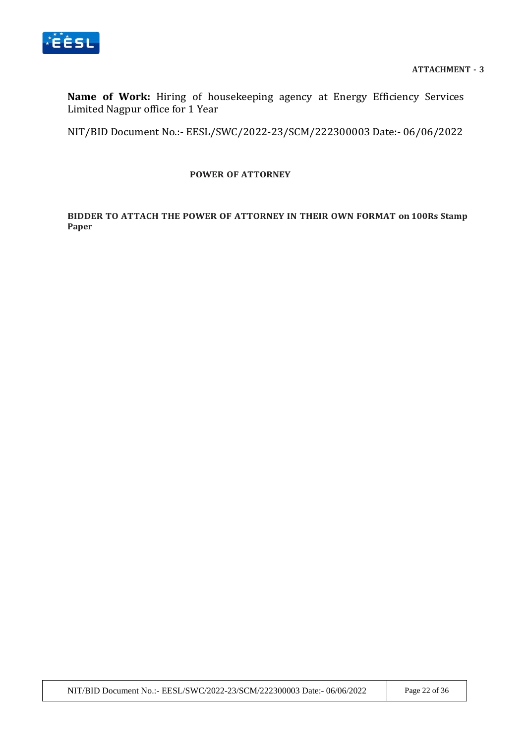

**Name of Work:** Hiring of housekeeping agency at Energy Efficiency Services Limited Nagpur office for 1 Year

NIT/BID Document No.:- EESL/SWC/2022-23/SCM/222300003 Date:- 06/06/2022

#### **POWER OF ATTORNEY**

**BIDDER TO ATTACH THE POWER OF ATTORNEY IN THEIR OWN FORMAT on 100Rs Stamp Paper**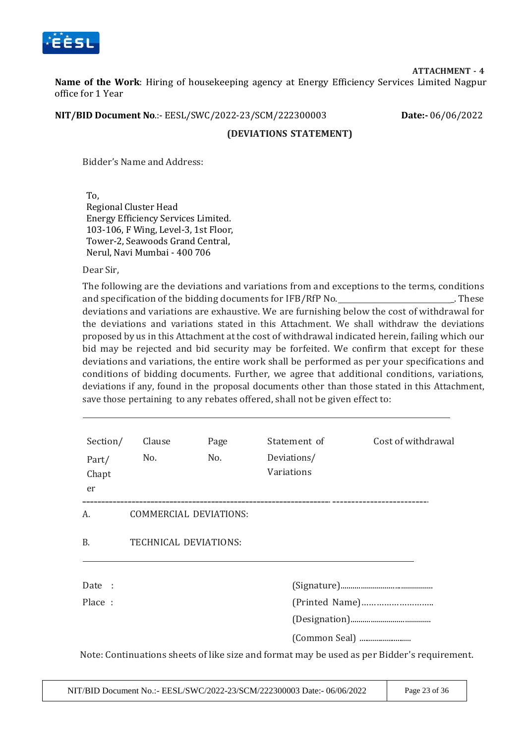

**ATTACHMENT - 4**

**Name of the Work**: Hiring of housekeeping agency at Energy Efficiency Services Limited Nagpur office for 1 Year

**NIT/BID Document No**.:- EESL/SWC/2022-23/SCM/222300003 **Date:-** 06/06/2022

#### **(DEVIATIONS STATEMENT)**

Bidder's Name and Address:

To, Regional Cluster Head Energy Efficiency Services Limited. 103-106, F Wing, Level-3, 1st Floor, Tower-2, Seawoods Grand Central, Nerul, Navi Mumbai - 400 706

Dear Sir,

The following are the deviations and variations from and exceptions to the terms, conditions and specification of the bidding documents for  $IFB/RFN$  No.  $\qquad \qquad \qquad$  These deviations and variations are exhaustive. We are furnishing below the cost of withdrawal for the deviations and variations stated in this Attachment. We shall withdraw the deviations proposed by us in this Attachment at the cost of withdrawal indicated herein, failing which our bid may be rejected and bid security may be forfeited. We confirm that except for these deviations and variations, the entire work shall be performed as per your specifications and conditions of bidding documents. Further, we agree that additional conditions, variations, deviations if any, found in the proposal documents other than those stated in this Attachment, save those pertaining to any rebates offered, shall not be given effect to:

| Section/<br>Part/<br>Chapt<br>er | Clause<br>No.          | Page<br>No. | Statement of<br>Deviations/<br>Variations | Cost of withdrawal                                                                          |  |
|----------------------------------|------------------------|-------------|-------------------------------------------|---------------------------------------------------------------------------------------------|--|
| А.                               | COMMERCIAL DEVIATIONS: |             |                                           |                                                                                             |  |
| <b>B.</b>                        | TECHNICAL DEVIATIONS:  |             |                                           |                                                                                             |  |
| Date :                           |                        |             |                                           |                                                                                             |  |
| Place:                           |                        |             |                                           |                                                                                             |  |
|                                  |                        |             |                                           |                                                                                             |  |
|                                  |                        |             |                                           |                                                                                             |  |
|                                  |                        |             |                                           | Note: Continuations sheets of like size and format may be used as per Bidder's requirement. |  |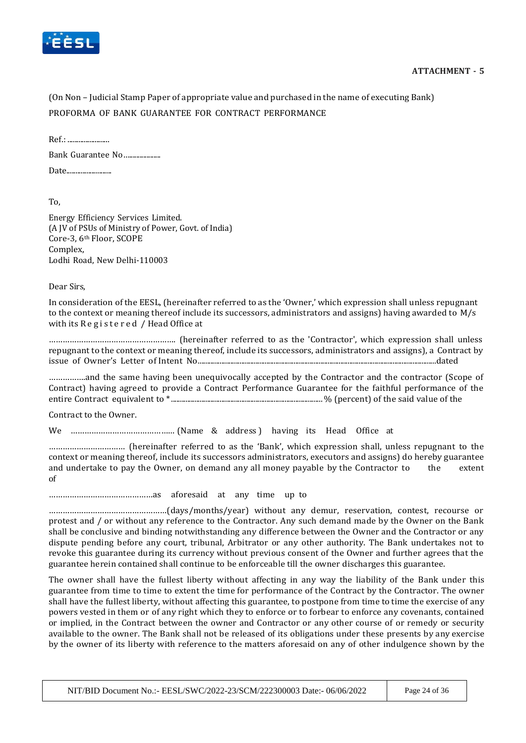

(On Non – Judicial Stamp Paper of appropriate value and purchased in the name of executing Bank) PROFORMA OF BANK GUARANTEE FOR CONTRACT PERFORMANCE

Ref.: ....................... Bank Guarantee No….................. Date.........................

To,

Energy Efficiency Services Limited. (A JV of PSUs of Ministry of Power, Govt. of India) Core-3, 6th Floor, SCOPE Complex, Lodhi Road, New Delhi-110003

Dear Sirs,

In consideration of the EESL, (hereinafter referred to as the 'Owner,' which expression shall unless repugnant to the context or meaning thereof include its successors, administrators and assigns) having awarded to M/s with its Registered / Head Office at

………………………………………………. (hereinafter referred to as the 'Contractor', which expression shall unless repugnant to the context or meaning thereof, include its successors, administrators and assigns), a Contract by issue of Owner's Letter of Intent No....................................................................................................................................dated

…………….and the same having been unequivocally accepted by the Contractor and the contractor (Scope of Contract) having agreed to provide a Contract Performance Guarantee for the faithful performance of the entire Contract equivalent to \* .................................................................................... % (percent) of the said value of the

Contract to the Owner.

We ……………………………………… (Name & address ) having its Head Office at

…………………………… (hereinafter referred to as the 'Bank', which expression shall, unless repugnant to the context or meaning thereof, include its successors administrators, executors and assigns) do hereby guarantee and undertake to pay the Owner, on demand any all money payable by the Contractor to the extent of

………………………………………as aforesaid at any time up to

……………………………………………(days/months/year) without any demur, reservation, contest, recourse or protest and / or without any reference to the Contractor. Any such demand made by the Owner on the Bank shall be conclusive and binding notwithstanding any difference between the Owner and the Contractor or any dispute pending before any court, tribunal, Arbitrator or any other authority. The Bank undertakes not to revoke this guarantee during its currency without previous consent of the Owner and further agrees that the guarantee herein contained shall continue to be enforceable till the owner discharges this guarantee.

The owner shall have the fullest liberty without affecting in any way the liability of the Bank under this guarantee from time to time to extent the time for performance of the Contract by the Contractor. The owner shall have the fullest liberty, without affecting this guarantee, to postpone from time to time the exercise of any powers vested in them or of any right which they to enforce or to forbear to enforce any covenants, contained or implied, in the Contract between the owner and Contractor or any other course of or remedy or security available to the owner. The Bank shall not be released of its obligations under these presents by any exercise by the owner of its liberty with reference to the matters aforesaid on any of other indulgence shown by the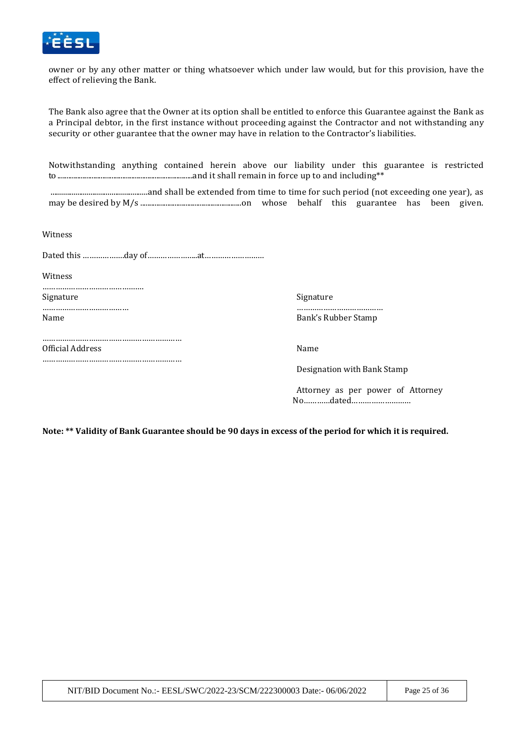

owner or by any other matter or thing whatsoever which under law would, but for this provision, have the effect of relieving the Bank.

The Bank also agree that the Owner at its option shall be entitled to enforce this Guarantee against the Bank as a Principal debtor, in the first instance without proceeding against the Contractor and not withstanding any security or other guarantee that the owner may have in relation to the Contractor's liabilities.

Notwithstanding anything contained herein above our liability under this guarantee is restricted to ...........................................................................and it shall remain in force up to and including\*\*

...................................................and shall be extended from time to time for such period (not exceeding one year), as may be desired by M/s ........................................................on whose behalf this guarantee has been given.

Witness

Dated this ……………….day of…………………..at………………………

**Witness** 

………………………………………. Signature Signature Signature Signature Signature Signature Signature Signature Signature Signature Signature  $\sim$ ………………………………… ………………………………… Name Bank's Rubber Stamp

………………………………………………………

………………………………………………………

Official Address Name

Designation with Bank Stamp

Attorney as per power of Attorney No…………dated………………………

**Note: \*\* Validity of Bank Guarantee should be 90 days in excess of the period for which it is required.**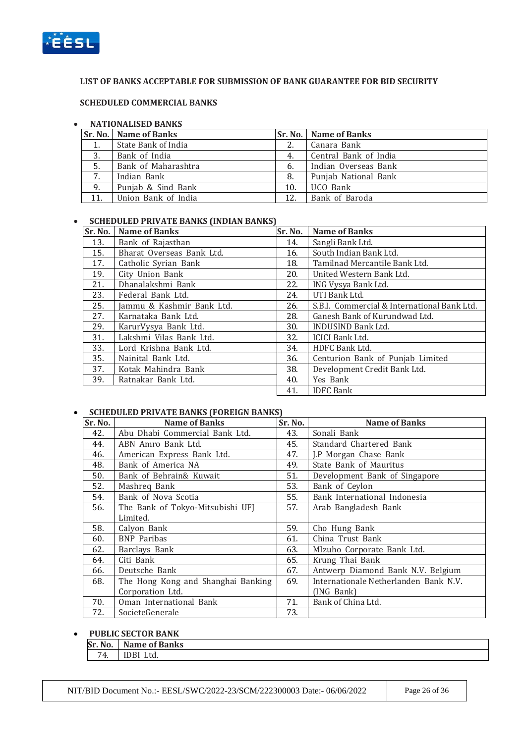

#### **LIST OF BANKS ACCEPTABLE FOR SUBMISSION OF BANK GUARANTEE FOR BID SECURITY**

#### **SCHEDULED COMMERCIAL BANKS**

#### **NATIONALISED BANKS**

|     | Sr. No.   Name of Banks |     | <b>Sr. No.   Name of Banks</b> |
|-----|-------------------------|-----|--------------------------------|
| 1.  | State Bank of India     |     | Canara Bank                    |
| 3.  | Bank of India           | 4.  | Central Bank of India          |
| 5.  | Bank of Maharashtra     | 6.  | Indian Overseas Bank           |
| 7.  | Indian Bank             | 8.  | Punjab National Bank           |
| 9.  | Punjab & Sind Bank      | 10. | UCO Bank                       |
| 11. | Union Bank of India     | 12. | Bank of Baroda                 |

#### **SCHEDULED PRIVATE BANKS (INDIAN BANKS)**

| Sr. No. | <b>Name of Banks</b>      | Sr. No. | <b>Name of Banks</b>                        |
|---------|---------------------------|---------|---------------------------------------------|
| 13.     | Bank of Rajasthan         | 14.     | Sangli Bank Ltd.                            |
| 15.     | Bharat Overseas Bank Ltd. | 16.     | South Indian Bank Ltd.                      |
| 17.     | Catholic Syrian Bank      | 18.     | Tamilnad Mercantile Bank Ltd.               |
| 19.     | City Union Bank           | 20.     | United Western Bank Ltd.                    |
| 21.     | Dhanalakshmi Bank         | 22.     | ING Vysya Bank Ltd.                         |
| 23.     | Federal Bank Ltd.         | 24.     | UTI Bank Ltd.                               |
| 25.     | Jammu & Kashmir Bank Ltd. | 26.     | S.B.I. Commercial & International Bank Ltd. |
| 27.     | Karnataka Bank Ltd.       | 28.     | Ganesh Bank of Kurundwad Ltd.               |
| 29.     | KarurVysya Bank Ltd.      | 30.     | <b>INDUSIND Bank Ltd.</b>                   |
| 31.     | Lakshmi Vilas Bank Ltd.   | 32.     | ICICI Bank Ltd.                             |
| 33.     | Lord Krishna Bank Ltd.    | 34.     | HDFC Bank Ltd.                              |
| 35.     | Nainital Bank Ltd.        | 36.     | Centurion Bank of Punjab Limited            |
| 37.     | Kotak Mahindra Bank       | 38.     | Development Credit Bank Ltd.                |
| 39.     | Ratnakar Bank Ltd.        | 40.     | Yes Bank                                    |
|         |                           | 41.     | <b>IDFC</b> Bank                            |

#### **SCHEDULED PRIVATE BANKS (FOREIGN BANKS)**

| Sr. No. | <b>Name of Banks</b>               | Sr. No. | <b>Name of Banks</b>                  |
|---------|------------------------------------|---------|---------------------------------------|
| 42.     | Abu Dhabi Commercial Bank Ltd.     | 43.     | Sonali Bank                           |
| 44.     | ABN Amro Bank Ltd.                 | 45.     | Standard Chartered Bank               |
| 46.     | American Express Bank Ltd.         | 47.     | J.P Morgan Chase Bank                 |
| 48.     | Bank of America NA                 | 49.     | State Bank of Mauritus                |
| 50.     | Bank of Behrain& Kuwait            | 51.     | Development Bank of Singapore         |
| 52.     | Mashreg Bank                       | 53.     | Bank of Ceylon                        |
| 54.     | Bank of Nova Scotia                | 55.     | Bank International Indonesia          |
| 56.     | The Bank of Tokyo-Mitsubishi UFJ   | 57.     | Arab Bangladesh Bank                  |
|         | Limited.                           |         |                                       |
| 58.     | Calyon Bank                        | 59.     | Cho Hung Bank                         |
| 60.     | <b>BNP</b> Paribas                 | 61.     | China Trust Bank                      |
| 62.     | Barclays Bank                      | 63.     | MIzuho Corporate Bank Ltd.            |
| 64.     | Citi Bank                          | 65.     | Krung Thai Bank                       |
| 66.     | Deutsche Bank                      | 67.     | Antwerp Diamond Bank N.V. Belgium     |
| 68.     | The Hong Kong and Shanghai Banking | 69.     | Internationale Netherlanden Bank N.V. |
|         | Corporation Ltd.                   |         | (ING Bank)                            |
| 70.     | Oman International Bank            | 71.     | Bank of China Ltd.                    |
| 72.     | SocieteGenerale                    | 73.     |                                       |

#### **PUBLIC SECTOR BANK**

| Sr. No. | Name of Banks |
|---------|---------------|
| '4.     | Ltd.<br>ЭBI   |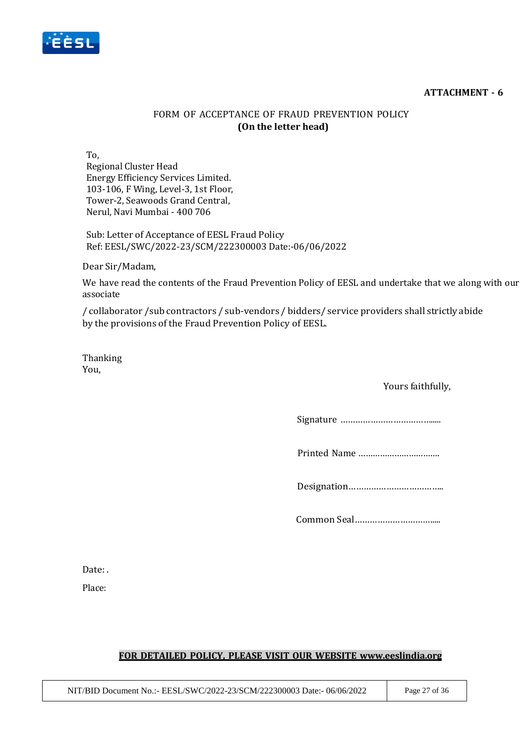#### **ATTACHMENT - 6**



# FORM OF ACCEPTANCE OF FRAUD PREVENTION POLICY **(On the letter head)**

To,

Regional Cluster Head Energy Efficiency Services Limited. 103-106, F Wing, Level-3, 1st Floor, Tower-2, Seawoods Grand Central, Nerul, Navi Mumbai - 400 706

Sub: Letter of Acceptance of EESL Fraud Policy Ref: EESL/SWC/2022-23/SCM/222300003 Date:-06/06/2022

Dear Sir/Madam,

We have read the contents of the Fraud Prevention Policy of EESL and undertake that we along with our associate

/ collaborator /sub contractors / sub-vendors / bidders/ service providers shall strictly abide by the provisions of the Fraud Prevention Policy of EESL.

Thanking You,

### Yours faithfully,

Signature ……………………………….....

Printed Name …………………………….

Designation………………………………..

Common Seal………………………….....

Date: .

Place:

### **FOR DETAILED POLICY, PLEASE VISIT OUR WEBSITE [www.eeslindia.org](http://www.eeslindia.org/)**

NIT/BID Document No.:- EESL/SWC/2022-23/SCM/222300003 Date:- 06/06/2022 Page 27 of 36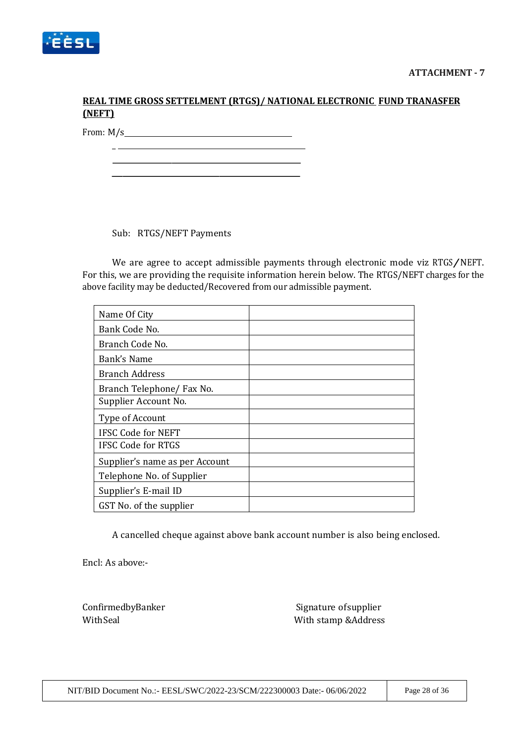

# **REAL TIME GROSS SETTELMENT (RTGS)/ NATIONAL ELECTRONIC FUND TRANASFER (NEFT)**

From: M/s

 $\overline{\phantom{a}}$ 

Sub: RTGS/NEFT Payments

We are agree to accept admissible payments through electronic mode viz RTGS/NEFT. For this, we are providing the requisite information herein below. The RTGS/NEFT charges for the above facility may be deducted/Recovered from our admissible payment.

| Name Of City                   |  |
|--------------------------------|--|
| Bank Code No.                  |  |
| Branch Code No.                |  |
| Bank's Name                    |  |
| <b>Branch Address</b>          |  |
| Branch Telephone/ Fax No.      |  |
| Supplier Account No.           |  |
| Type of Account                |  |
| <b>IFSC Code for NEFT</b>      |  |
| <b>IFSC Code for RTGS</b>      |  |
| Supplier's name as per Account |  |
| Telephone No. of Supplier      |  |
| Supplier's E-mail ID           |  |
| GST No. of the supplier        |  |

A cancelled cheque against above bank account number is also being enclosed.

Encl: As above:-

ConfirmedbyBanker Signature of Supplier With Seal With stamp &Address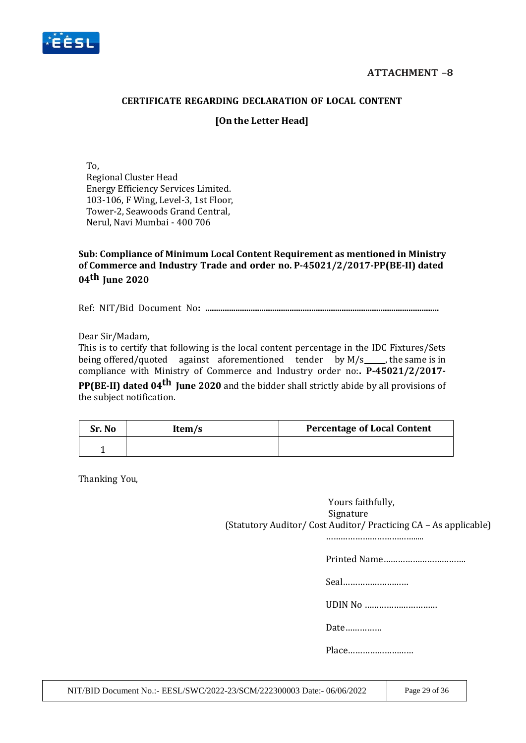

### **CERTIFICATE REGARDING DECLARATION OF LOCAL CONTENT**

## **[On the Letter Head]**

To, Regional Cluster Head Energy Efficiency Services Limited. 103-106, F Wing, Level-3, 1st Floor, Tower-2, Seawoods Grand Central, Nerul, Navi Mumbai - 400 706

**Sub: Compliance of Minimum Local Content Requirement as mentioned in Ministry of Commerce and Industry Trade and order no. P-45021/2/2017-PP(BE-II) dated 04th June 2020**

Ref: NIT/Bid Document No**: ............................................................................................................**

Dear Sir/Madam,

This is to certify that following is the local content percentage in the IDC Fixtures/Sets being offered/quoted against aforementioned tender by  $M/s$  , the same is in compliance with Ministry of Commerce and Industry order no:**. P-45021/2/2017- PP(BE-II) dated 04th June 2020** and the bidder shall strictly abide by all provisions of

the subject notification.

| Sr. No | Item/s | <b>Percentage of Local Content</b> |
|--------|--------|------------------------------------|
|        |        |                                    |

Thanking You,

Yours faithfully, Signature (Statutory Auditor/ Cost Auditor/ Practicing CA – As applicable)

……………………………….....

Printed Name…………………………….

Seal………………………

UDIN No …………………………

Date……………

Place………………………

NIT/BID Document No.:- EESL/SWC/2022-23/SCM/222300003 Date:- 06/06/2022 Page 29 of 36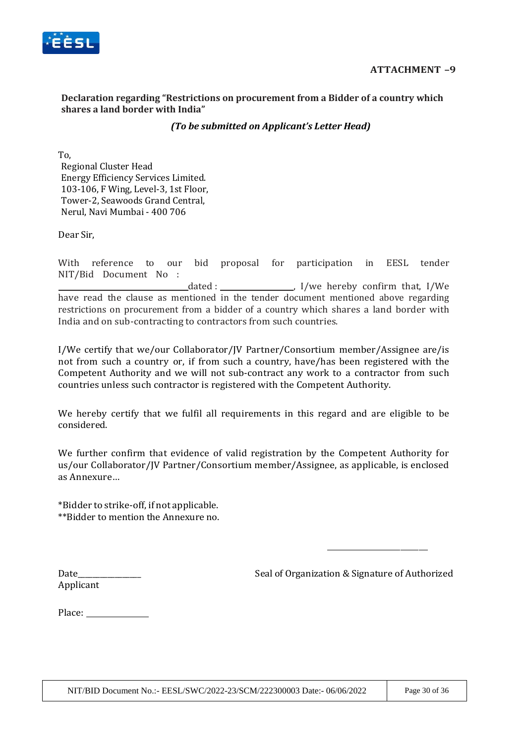

### **Declaration regarding "Restrictions on procurement from a Bidder of a country which shares a land border with India"**

## *(To be submitted on Applicant's Letter Head)*

To, Regional Cluster Head Energy Efficiency Services Limited. 103-106, F Wing, Level-3, 1st Floor, Tower-2, Seawoods Grand Central, Nerul, Navi Mumbai - 400 706

Dear Sir,

With reference to our bid proposal for participation in EESL tender NIT/Bid Document No : dated :  $\frac{1}{\sqrt{1-\frac{1}{\sqrt{1-\frac{1}{\sqrt{1-\frac{1}{\sqrt{1-\frac{1}{\sqrt{1-\frac{1}{\sqrt{1-\frac{1}{\sqrt{1-\frac{1}{\sqrt{1-\frac{1}{\sqrt{1-\frac{1}{\sqrt{1-\frac{1}{\sqrt{1-\frac{1}{\sqrt{1-\frac{1}{\sqrt{1-\frac{1}{\sqrt{1-\frac{1}{\sqrt{1-\frac{1}{\sqrt{1-\frac{1}{\sqrt{1-\frac{1}{\sqrt{1-\frac{1}{\sqrt{1-\frac{1}{\sqrt{1-\frac{1}{\sqrt{1-\frac{1}{\sqrt{1-\frac{1}{\sqrt{1-\frac{1}{\$ have read the clause as mentioned in the tender document mentioned above regarding restrictions on procurement from a bidder of a country which shares a land border with India and on sub-contracting to contractors from such countries.

I/We certify that we/our Collaborator/JV Partner/Consortium member/Assignee are/is not from such a country or, if from such a country, have/has been registered with the Competent Authority and we will not sub-contract any work to a contractor from such countries unless such contractor is registered with the Competent Authority.

We hereby certify that we fulfil all requirements in this regard and are eligible to be considered.

We further confirm that evidence of valid registration by the Competent Authority for us/our Collaborator/JV Partner/Consortium member/Assignee, as applicable, is enclosed as Annexure…

\*Bidder to strike-off, if not applicable. \*\*Bidder to mention the Annexure no.

Date\_\_\_\_\_\_\_\_\_\_\_\_\_\_\_\_\_ Seal of Organization & Signature of Authorized

Applicant

Place: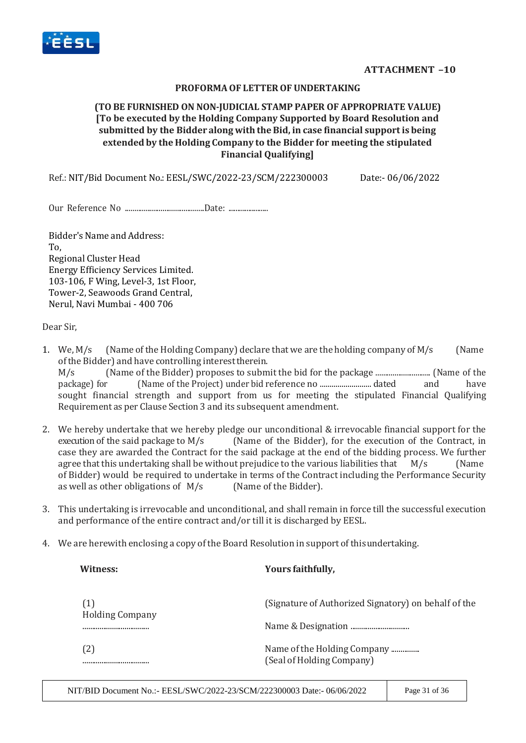

#### **PROFORMAOF LETTEROF UNDERTAKING**

## **(TO BE FURNISHED ON NON-JUDICIAL STAMP PAPER OF APPROPRIATE VALUE) [To be executed by the Holding Company Supported by Board Resolution and submitted by the Bidder along with theBid, in case financial supportis being extended by the Holding Company to the Bidder for meeting the stipulated Financial Qualifying]**

Ref.: NIT/Bid Document No.: EESL/SWC/2022-23/SCM/222300003 Date:- 06/06/2022

Our Reference No ..........................................Date: ......................

Bidder's Name and Address: To, Regional Cluster Head Energy Efficiency Services Limited. 103-106, F Wing, Level-3, 1st Floor, Tower-2, Seawoods Grand Central, Nerul, Navi Mumbai - 400 706

Dear Sir,

- 1. We,  $M/s$  (Name of the Holding Company) declare that we are the holding company of  $M/s$  (Name ofthe Bidder) and have controlling interesttherein. M/s (Name of the Bidder) proposes to submit the bid for the package ............................. (Name of the package) for (Name of the Project) under bid reference no .......................... dated and have sought financial strength and support from us for meeting the stipulated Financial Qualifying Requirement as per Clause Section 3 and its subsequent amendment.
- 2. We hereby undertake that we hereby pledge our unconditional & irrevocable financial support for the execution of the said package to M/s (Name of the Bidder), for the execution of the Contract, in case they are awarded the Contract for the said package at the end of the bidding process. We further agree that this undertaking shall be without prejudice to the various liabilities that  $M/s$  (Name of Bidder) would be required to undertake in terms of the Contract including the Performance Security as well as other obligations of M/s (Name of the Bidder).
- 3. This undertaking is irrevocable and unconditional, and shall remain in force till the successful execution and performance of the entire contract and/or till it is discharged by EESL.
- 4. We are herewith enclosing a copy of the Board Resolution in support of thisundertaking.

| Witness:                      | Yours faithfully,                                        |
|-------------------------------|----------------------------------------------------------|
| (1)<br><b>Holding Company</b> | (Signature of Authorized Signatory) on behalf of the     |
|                               |                                                          |
| (2)<br>                       | Name of the Holding Company<br>(Seal of Holding Company) |

NIT/BID Document No.:- EESL/SWC/2022-23/SCM/222300003 Date:- 06/06/2022 Page 31 of 36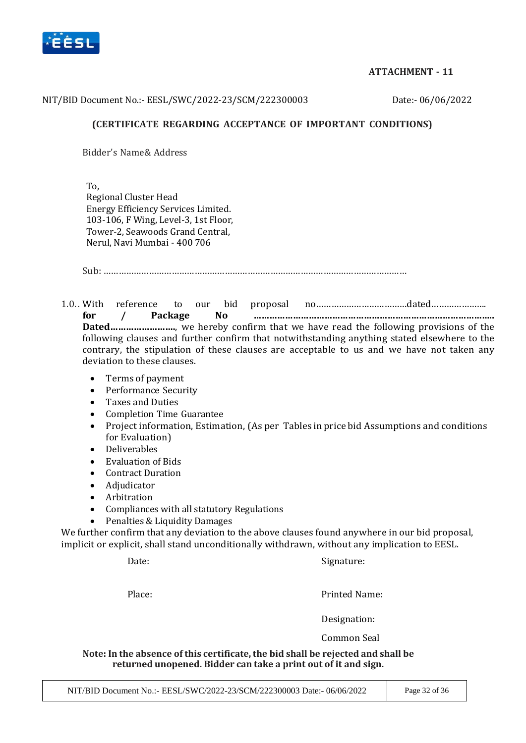

## **ATTACHMENT - 11**

#### NIT/BID Document No.:- EESL/SWC/2022-23/SCM/222300003 Date:- 06/06/2022

### **(CERTIFICATE REGARDING ACCEPTANCE OF IMPORTANT CONDITIONS)**

Bidder's Name& Address

To, Regional Cluster Head Energy Efficiency Services Limited. 103-106, F Wing, Level-3, 1st Floor, Tower-2, Seawoods Grand Central, Nerul, Navi Mumbai - 400 706

Sub: …………………………………………………………………………………………………………

1.0.. With reference to our bid proposal no………………………………dated…………………. **for / Package No ……………………………………………………………………………….. Dated…………………….**, we hereby confirm that we have read the following provisions of the following clauses and further confirm that notwithstanding anything stated elsewhere to the contrary, the stipulation of these clauses are acceptable to us and we have not taken any deviation to these clauses.

- Terms of payment
- Performance Security
- Taxes and Duties
- Completion Time Guarantee
- Project information, Estimation, (As per Tables in price bid Assumptions and conditions for Evaluation)
- Deliverables
- Evaluation of Bids
- Contract Duration
- Adjudicator
- Arbitration
- Compliances with all statutory Regulations
- Penalties & Liquidity Damages

We further confirm that any deviation to the above clauses found anywhere in our bid proposal, implicit or explicit, shall stand unconditionally withdrawn, without any implication to EESL.

Date: Signature:

Place: Place: Printed Name:

Designation:

Common Seal

**Note: In the absence of this certificate,the bid shall be rejected and shall be returned unopened. Bidder can take a print out of it and sign.**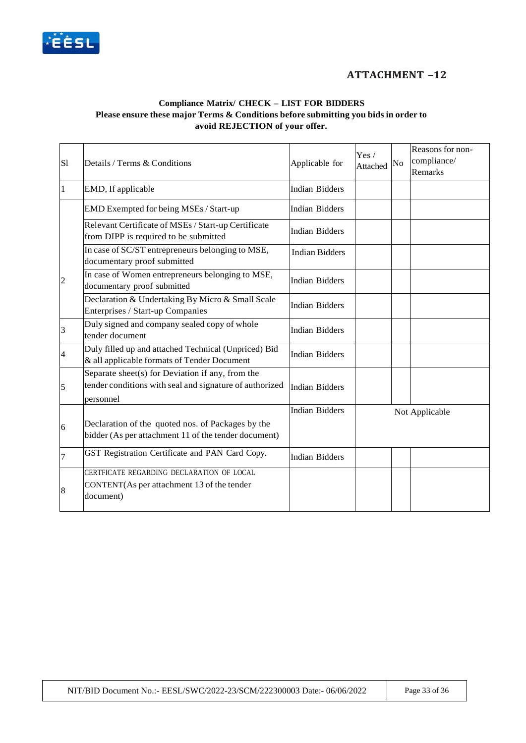

# **ATTACHMENT –12**

#### **Compliance Matrix/ CHECK – LIST FOR BIDDERS Please ensure these major Terms & Conditions before submitting you bids in order to avoid REJECTION of your offer.**

| S1             | Details / Terms & Conditions                                                                                             | Applicable for        | Yes/<br>Attached | No | Reasons for non-<br>compliance/<br>Remarks |
|----------------|--------------------------------------------------------------------------------------------------------------------------|-----------------------|------------------|----|--------------------------------------------|
|                | EMD, If applicable                                                                                                       | <b>Indian Bidders</b> |                  |    |                                            |
|                | EMD Exempted for being MSEs / Start-up                                                                                   | <b>Indian Bidders</b> |                  |    |                                            |
|                | Relevant Certificate of MSEs / Start-up Certificate<br>from DIPP is required to be submitted                             | <b>Indian Bidders</b> |                  |    |                                            |
|                | In case of SC/ST entrepreneurs belonging to MSE,<br>documentary proof submitted                                          | <b>Indian Bidders</b> |                  |    |                                            |
| $\overline{2}$ | In case of Women entrepreneurs belonging to MSE,<br>documentary proof submitted                                          | <b>Indian Bidders</b> |                  |    |                                            |
|                | Declaration & Undertaking By Micro & Small Scale<br>Enterprises / Start-up Companies                                     | <b>Indian Bidders</b> |                  |    |                                            |
| $\vert$ 3      | Duly signed and company sealed copy of whole<br>tender document                                                          | <b>Indian Bidders</b> |                  |    |                                            |
| 4              | Duly filled up and attached Technical (Unpriced) Bid<br>& all applicable formats of Tender Document                      | <b>Indian Bidders</b> |                  |    |                                            |
| $\overline{5}$ | Separate sheet(s) for Deviation if any, from the<br>tender conditions with seal and signature of authorized<br>personnel | <b>Indian Bidders</b> |                  |    |                                            |
|                |                                                                                                                          | <b>Indian Bidders</b> |                  |    | Not Applicable                             |
| 6              | Declaration of the quoted nos. of Packages by the<br>bidder (As per attachment 11 of the tender document)                |                       |                  |    |                                            |
| 7              | GST Registration Certificate and PAN Card Copy.                                                                          | <b>Indian Bidders</b> |                  |    |                                            |
| $\vert 8$      | CERTFICATE REGARDING DECLARATION OF LOCAL<br>CONTENT(As per attachment 13 of the tender<br>document)                     |                       |                  |    |                                            |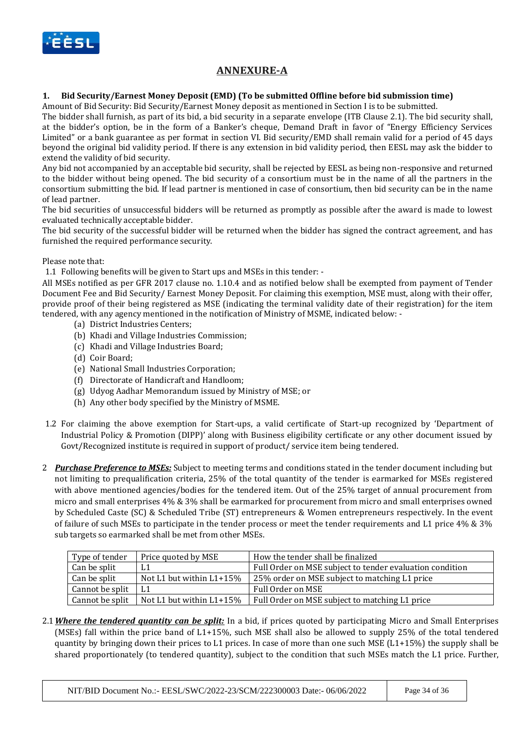

# **ANNEXURE-A**

#### **1. Bid Security/Earnest Money Deposit (EMD) (To be submitted Offline before bid submission time)**

Amount of Bid Security: Bid Security/Earnest Money deposit as mentioned in Section I is to be submitted.

The bidder shall furnish, as part of its bid, a bid security in a separate envelope (ITB Clause 2.1). The bid security shall, at the bidder's option, be in the form of a Banker's cheque, Demand Draft in favor of "Energy Efficiency Services Limited" or a bank guarantee as per format in section VI. Bid security/EMD shall remain valid for a period of 45 days beyond the original bid validity period. If there is any extension in bid validity period, then EESL may ask the bidder to extend the validity of bid security.

Any bid not accompanied by an acceptable bid security, shall be rejected by EESL as being non-responsive and returned to the bidder without being opened. The bid security of a consortium must be in the name of all the partners in the consortium submitting the bid. If lead partner is mentioned in case of consortium, then bid security can be in the name of lead partner.

The bid securities of unsuccessful bidders will be returned as promptly as possible after the award is made to lowest evaluated technically acceptable bidder.

The bid security of the successful bidder will be returned when the bidder has signed the contract agreement, and has furnished the required performance security.

#### Please note that:

1.1 Following benefits will be given to Start ups and MSEs in this tender: -

All MSEs notified as per GFR 2017 clause no. 1.10.4 and as notified below shall be exempted from payment of Tender Document Fee and Bid Security/ Earnest Money Deposit. For claiming this exemption, MSE must, along with their offer, provide proof of their being registered as MSE (indicating the terminal validity date of their registration) for the item tendered, with any agency mentioned in the notification of Ministry of MSME, indicated below: -

- (a) District Industries Centers;
- (b) Khadi and Village Industries Commission;
- (c) Khadi and Village Industries Board;
- (d) Coir Board;
- (e) National Small Industries Corporation;
- (f) Directorate of Handicraft and Handloom;
- (g) Udyog Aadhar Memorandum issued by Ministry of MSE; or
- (h) Any other body specified by the Ministry of MSME.
- 1.2 For claiming the above exemption for Start-ups, a valid certificate of Start-up recognized by 'Department of Industrial Policy & Promotion (DIPP)' along with Business eligibility certificate or any other document issued by Govt/Recognized institute is required in support of product/ service item being tendered.
- 2 *Purchase Preference to MSEs:* Subject to meeting terms and conditions stated in the tender document including but not limiting to prequalification criteria, 25% of the total quantity of the tender is earmarked for MSEs registered with above mentioned agencies/bodies for the tendered item. Out of the 25% target of annual procurement from micro and small enterprises 4% & 3% shall be earmarked for procurement from micro and small enterprises owned by Scheduled Caste (SC) & Scheduled Tribe (ST) entrepreneurs & Women entrepreneurs respectively. In the event of failure of such MSEs to participate in the tender process or meet the tender requirements and L1 price 4% & 3% sub targets so earmarked shall be met from other MSEs.

| Type of tender  | Price quoted by MSE        | How the tender shall be finalized                        |
|-----------------|----------------------------|----------------------------------------------------------|
| Can be split    | L <sub>1</sub>             | Full Order on MSE subject to tender evaluation condition |
| Can be split    | Not L1 but within L1+15%   | 25% order on MSE subject to matching L1 price            |
| Cannot be split |                            | Full Order on MSE                                        |
| Cannot be split | Not L1 but within $L1+15%$ | Full Order on MSE subject to matching L1 price           |

2.1*Where the tendered quantity can be split:* In a bid, if prices quoted by participating Micro and Small Enterprises (MSEs) fall within the price band of L1+15%, such MSE shall also be allowed to supply 25% of the total tendered quantity by bringing down their prices to L1 prices. In case of more than one such MSE  $(L1+15%)$  the supply shall be shared proportionately (to tendered quantity), subject to the condition that such MSEs match the L1 price. Further,

NIT/BID Document No.:- EESL/SWC/2022-23/SCM/222300003 Date:- 06/06/2022 Page 34 of 36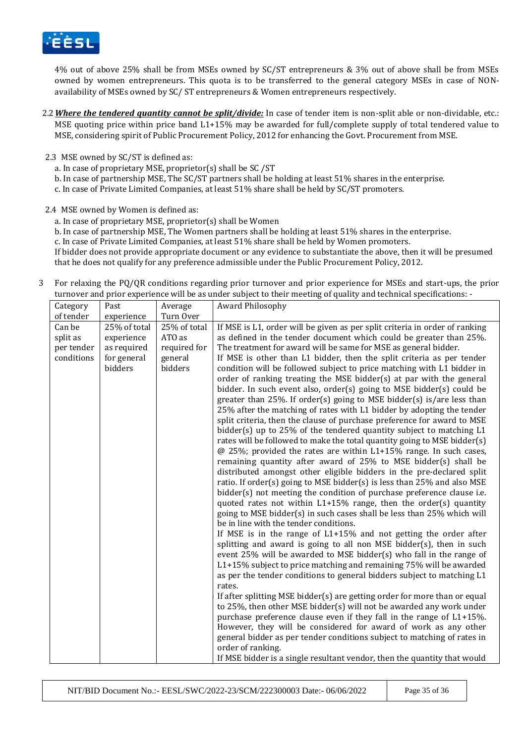

4% out of above 25% shall be from MSEs owned by SC/ST entrepreneurs & 3% out of above shall be from MSEs owned by women entrepreneurs. This quota is to be transferred to the general category MSEs in case of NONavailability of MSEs owned by SC/ ST entrepreneurs & Women entrepreneurs respectively.

- 2.2*Where the tendered quantity cannot be split/divide:* In case of tender item is non-split able or non-dividable, etc.: MSE quoting price within price band L1+15% may be awarded for full/complete supply of total tendered value to MSE, considering spirit of Public Procurement Policy, 2012 for enhancing the Govt. Procurement from MSE.
- 2.3 MSE owned by SC/ST is defined as:
	- a. In case of proprietary MSE, proprietor(s) shall be SC /ST
	- b. In case of partnership MSE, The SC/ST partners shall be holding at least 51% shares in the enterprise.
	- c. In case of Private Limited Companies, at least 51% share shall be held by SC/ST promoters.

2.4 MSE owned by Women is defined as:

- a. In case of proprietary MSE, proprietor(s) shall be Women
- b. In case of partnership MSE, The Women partners shall be holding at least 51% shares in the enterprise.
- c. In case of Private Limited Companies, at least 51% share shall be held by Women promoters.

If bidder does not provide appropriate document or any evidence to substantiate the above, then it will be presumed that he does not qualify for any preference admissible under the Public Procurement Policy, 2012.

3 For relaxing the PQ/QR conditions regarding prior turnover and prior experience for MSEs and start-ups, the prior turnover and prior experience will be as under subject to their meeting of quality and technical specifications: -

| Category   | Past         | Average      | Award Philosophy                                                                                                                                |
|------------|--------------|--------------|-------------------------------------------------------------------------------------------------------------------------------------------------|
| of tender  | experience   | Turn Over    |                                                                                                                                                 |
| Can be     | 25% of total | 25% of total | If MSE is L1, order will be given as per split criteria in order of ranking                                                                     |
| split as   | experience   | ATO as       | as defined in the tender document which could be greater than 25%.                                                                              |
| per tender | as required  | required for | The treatment for award will be same for MSE as general bidder.                                                                                 |
| conditions | for general  | general      | If MSE is other than L1 bidder, then the split criteria as per tender                                                                           |
|            | bidders      | bidders      | condition will be followed subject to price matching with L1 bidder in                                                                          |
|            |              |              | order of ranking treating the MSE bidder(s) at par with the general                                                                             |
|            |              |              | bidder. In such event also, order(s) going to MSE bidder(s) could be                                                                            |
|            |              |              | greater than 25%. If order(s) going to MSE bidder(s) is/are less than                                                                           |
|            |              |              | 25% after the matching of rates with L1 bidder by adopting the tender                                                                           |
|            |              |              | split criteria, then the clause of purchase preference for award to MSE                                                                         |
|            |              |              | bidder(s) up to 25% of the tendered quantity subject to matching L1                                                                             |
|            |              |              | rates will be followed to make the total quantity going to MSE bidder(s)<br>$@$ 25%; provided the rates are within L1+15% range. In such cases, |
|            |              |              | remaining quantity after award of 25% to MSE bidder(s) shall be                                                                                 |
|            |              |              | distributed amongst other eligible bidders in the pre-declared split                                                                            |
|            |              |              | ratio. If order(s) going to MSE bidder(s) is less than 25% and also MSE                                                                         |
|            |              |              | bidder(s) not meeting the condition of purchase preference clause i.e.                                                                          |
|            |              |              | quoted rates not within L1+15% range, then the order(s) quantity                                                                                |
|            |              |              | going to MSE bidder(s) in such cases shall be less than 25% which will                                                                          |
|            |              |              | be in line with the tender conditions.                                                                                                          |
|            |              |              | If MSE is in the range of $L1+15%$ and not getting the order after                                                                              |
|            |              |              | splitting and award is going to all non MSE bidder(s), then in such                                                                             |
|            |              |              | event 25% will be awarded to MSE bidder(s) who fall in the range of                                                                             |
|            |              |              | L1+15% subject to price matching and remaining 75% will be awarded                                                                              |
|            |              |              | as per the tender conditions to general bidders subject to matching L1                                                                          |
|            |              |              | rates.                                                                                                                                          |
|            |              |              | If after splitting MSE bidder(s) are getting order for more than or equal                                                                       |
|            |              |              | to 25%, then other MSE bidder(s) will not be awarded any work under                                                                             |
|            |              |              | purchase preference clause even if they fall in the range of L1+15%.                                                                            |
|            |              |              | However, they will be considered for award of work as any other                                                                                 |
|            |              |              | general bidder as per tender conditions subject to matching of rates in                                                                         |
|            |              |              | order of ranking.                                                                                                                               |
|            |              |              | If MSE bidder is a single resultant vendor, then the quantity that would                                                                        |